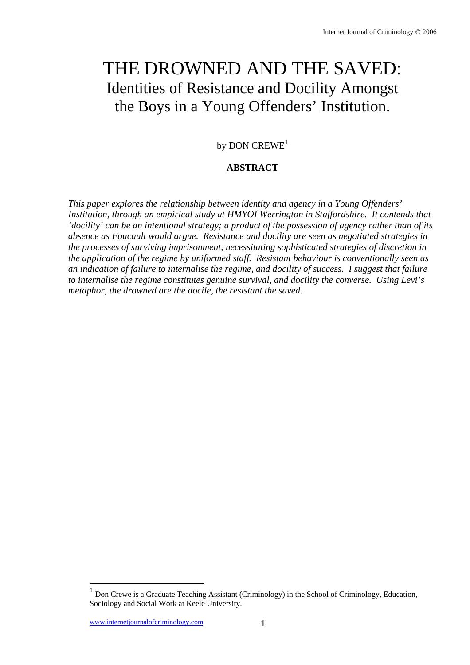# THE DROWNED AND THE SAVED: Identities of Resistance and Docility Amongst the Boys in a Young Offenders' Institution.

by DON  $C$ REWE<sup>1</sup>

# **ABSTRACT**

*This paper explores the relationship between identity and agency in a Young Offenders' Institution, through an empirical study at HMYOI Werrington in Staffordshire. It contends that 'docility' can be an intentional strategy; a product of the possession of agency rather than of its absence as Foucault would argue. Resistance and docility are seen as negotiated strategies in the processes of surviving imprisonment, necessitating sophisticated strategies of discretion in the application of the regime by uniformed staff. Resistant behaviour is conventionally seen as an indication of failure to internalise the regime, and docility of success. I suggest that failure to internalise the regime constitutes genuine survival, and docility the converse. Using Levi's metaphor, the drowned are the docile, the resistant the saved.* 

<sup>1</sup> Don Crewe is a Graduate Teaching Assistant (Criminology) in the School of Criminology, Education, Sociology and Social Work at Keele University.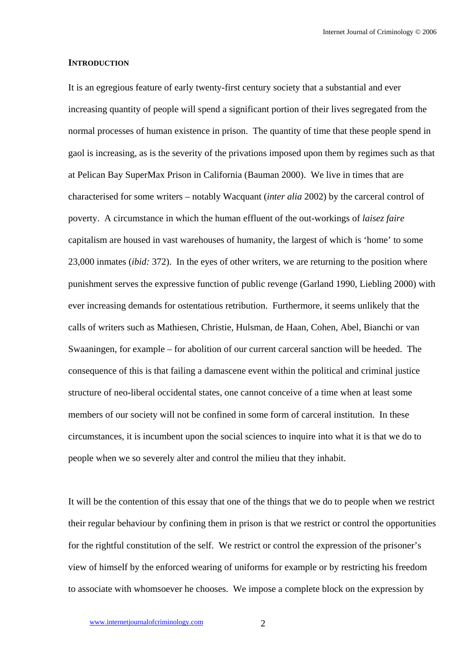## **INTRODUCTION**

It is an egregious feature of early twenty-first century society that a substantial and ever increasing quantity of people will spend a significant portion of their lives segregated from the normal processes of human existence in prison. The quantity of time that these people spend in gaol is increasing, as is the severity of the privations imposed upon them by regimes such as that at Pelican Bay SuperMax Prison in California (Bauman 2000). We live in times that are characterised for some writers – notably Wacquant (*inter alia* 2002) by the carceral control of poverty. A circumstance in which the human effluent of the out-workings of *laisez faire* capitalism are housed in vast warehouses of humanity, the largest of which is 'home' to some 23,000 inmates (*ibid:* 372). In the eyes of other writers, we are returning to the position where punishment serves the expressive function of public revenge (Garland 1990, Liebling 2000) with ever increasing demands for ostentatious retribution. Furthermore, it seems unlikely that the calls of writers such as Mathiesen, Christie, Hulsman, de Haan, Cohen, Abel, Bianchi or van Swaaningen, for example – for abolition of our current carceral sanction will be heeded. The consequence of this is that failing a damascene event within the political and criminal justice structure of neo-liberal occidental states, one cannot conceive of a time when at least some members of our society will not be confined in some form of carceral institution. In these circumstances, it is incumbent upon the social sciences to inquire into what it is that we do to people when we so severely alter and control the milieu that they inhabit.

It will be the contention of this essay that one of the things that we do to people when we restrict their regular behaviour by confining them in prison is that we restrict or control the opportunities for the rightful constitution of the self. We restrict or control the expression of the prisoner's view of himself by the enforced wearing of uniforms for example or by restricting his freedom to associate with whomsoever he chooses. We impose a complete block on the expression by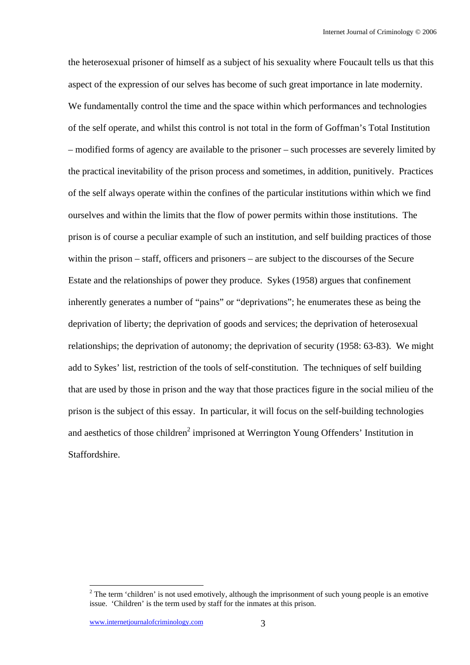the heterosexual prisoner of himself as a subject of his sexuality where Foucault tells us that this aspect of the expression of our selves has become of such great importance in late modernity. We fundamentally control the time and the space within which performances and technologies of the self operate, and whilst this control is not total in the form of Goffman's Total Institution – modified forms of agency are available to the prisoner – such processes are severely limited by the practical inevitability of the prison process and sometimes, in addition, punitively. Practices of the self always operate within the confines of the particular institutions within which we find ourselves and within the limits that the flow of power permits within those institutions. The prison is of course a peculiar example of such an institution, and self building practices of those within the prison – staff, officers and prisoners – are subject to the discourses of the Secure Estate and the relationships of power they produce. Sykes (1958) argues that confinement inherently generates a number of "pains" or "deprivations"; he enumerates these as being the deprivation of liberty; the deprivation of goods and services; the deprivation of heterosexual relationships; the deprivation of autonomy; the deprivation of security (1958: 63-83). We might add to Sykes' list, restriction of the tools of self-constitution. The techniques of self building that are used by those in prison and the way that those practices figure in the social milieu of the prison is the subject of this essay. In particular, it will focus on the self-building technologies and aesthetics of those children<sup>2</sup> imprisoned at Werrington Young Offenders' Institution in Staffordshire.

 $2^2$  The term 'children' is not used emotively, although the imprisonment of such young people is an emotive issue. 'Children' is the term used by staff for the inmates at this prison.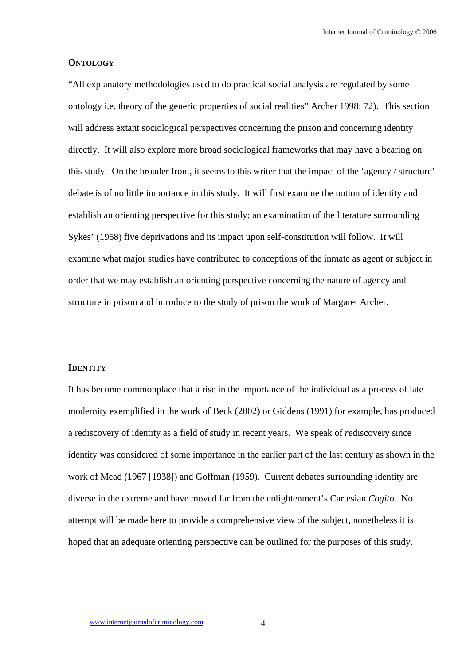## **ONTOLOGY**

"All explanatory methodologies used to do practical social analysis are regulated by some ontology i.e. theory of the generic properties of social realities" Archer 1998: 72). This section will address extant sociological perspectives concerning the prison and concerning identity directly. It will also explore more broad sociological frameworks that may have a bearing on this study. On the broader front, it seems to this writer that the impact of the 'agency / structure' debate is of no little importance in this study. It will first examine the notion of identity and establish an orienting perspective for this study; an examination of the literature surrounding Sykes' (1958) five deprivations and its impact upon self-constitution will follow. It will examine what major studies have contributed to conceptions of the inmate as agent or subject in order that we may establish an orienting perspective concerning the nature of agency and structure in prison and introduce to the study of prison the work of Margaret Archer.

### **IDENTITY**

It has become commonplace that a rise in the importance of the individual as a process of late modernity exemplified in the work of Beck (2002) or Giddens (1991) for example, has produced a rediscovery of identity as a field of study in recent years. We speak of *re*discovery since identity was considered of some importance in the earlier part of the last century as shown in the work of Mead (1967 [1938]) and Goffman (1959). Current debates surrounding identity are diverse in the extreme and have moved far from the enlightenment's Cartesian *Cogito.* No attempt will be made here to provide a comprehensive view of the subject, nonetheless it is hoped that an adequate orienting perspective can be outlined for the purposes of this study.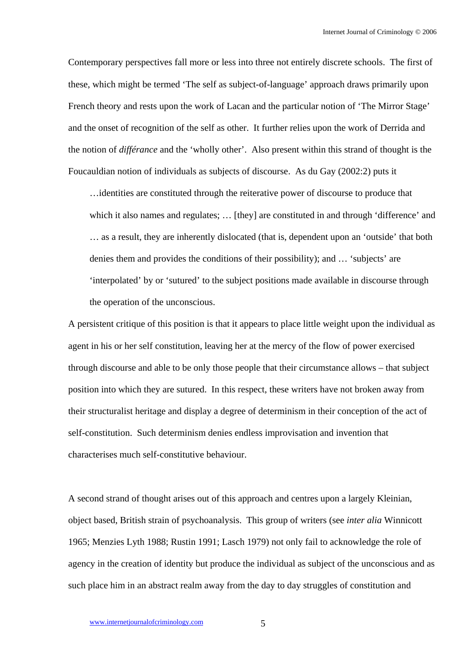Contemporary perspectives fall more or less into three not entirely discrete schools. The first of these, which might be termed 'The self as subject-of-language' approach draws primarily upon French theory and rests upon the work of Lacan and the particular notion of 'The Mirror Stage' and the onset of recognition of the self as other. It further relies upon the work of Derrida and the notion of *différance* and the 'wholly other'. Also present within this strand of thought is the Foucauldian notion of individuals as subjects of discourse. As du Gay (2002:2) puts it

…identities are constituted through the reiterative power of discourse to produce that which it also names and regulates; ... [they] are constituted in and through 'difference' and … as a result, they are inherently dislocated (that is, dependent upon an 'outside' that both denies them and provides the conditions of their possibility); and … 'subjects' are 'interpolated' by or 'sutured' to the subject positions made available in discourse through the operation of the unconscious.

A persistent critique of this position is that it appears to place little weight upon the individual as agent in his or her self constitution, leaving her at the mercy of the flow of power exercised through discourse and able to be only those people that their circumstance allows – that subject position into which they are sutured. In this respect, these writers have not broken away from their structuralist heritage and display a degree of determinism in their conception of the act of self-constitution. Such determinism denies endless improvisation and invention that characterises much self-constitutive behaviour.

A second strand of thought arises out of this approach and centres upon a largely Kleinian, object based, British strain of psychoanalysis. This group of writers (see *inter alia* Winnicott 1965; Menzies Lyth 1988; Rustin 1991; Lasch 1979) not only fail to acknowledge the role of agency in the creation of identity but produce the individual as subject of the unconscious and as such place him in an abstract realm away from the day to day struggles of constitution and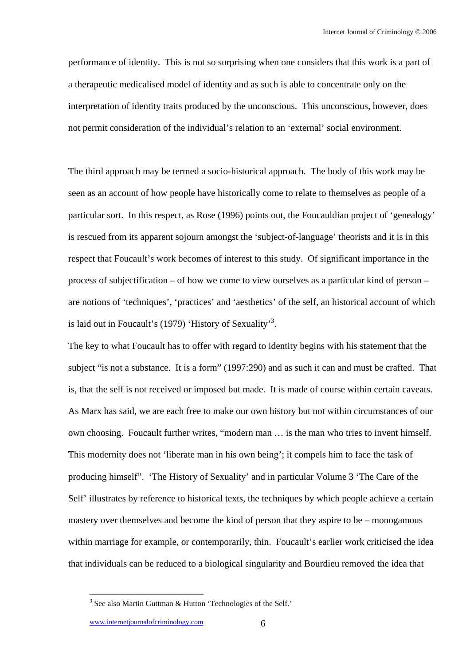performance of identity. This is not so surprising when one considers that this work is a part of a therapeutic medicalised model of identity and as such is able to concentrate only on the interpretation of identity traits produced by the unconscious. This unconscious, however, does not permit consideration of the individual's relation to an 'external' social environment.

The third approach may be termed a socio-historical approach. The body of this work may be seen as an account of how people have historically come to relate to themselves as people of a particular sort. In this respect, as Rose (1996) points out, the Foucauldian project of 'genealogy' is rescued from its apparent sojourn amongst the 'subject-of-language' theorists and it is in this respect that Foucault's work becomes of interest to this study. Of significant importance in the process of subjectification – of how we come to view ourselves as a particular kind of person – are notions of 'techniques', 'practices' and 'aesthetics' of the self, an historical account of which is laid out in Foucault's (1979) 'History of Sexuality'<sup>3</sup>.

The key to what Foucault has to offer with regard to identity begins with his statement that the subject "is not a substance. It is a form" (1997:290) and as such it can and must be crafted. That is, that the self is not received or imposed but made. It is made of course within certain caveats. As Marx has said, we are each free to make our own history but not within circumstances of our own choosing. Foucault further writes, "modern man … is the man who tries to invent himself. This modernity does not 'liberate man in his own being'; it compels him to face the task of producing himself". 'The History of Sexuality' and in particular Volume 3 'The Care of the Self' illustrates by reference to historical texts, the techniques by which people achieve a certain mastery over themselves and become the kind of person that they aspire to be – monogamous within marriage for example, or contemporarily, thin. Foucault's earlier work criticised the idea that individuals can be reduced to a biological singularity and Bourdieu removed the idea that

 $3$  See also Martin Guttman & Hutton 'Technologies of the Self.'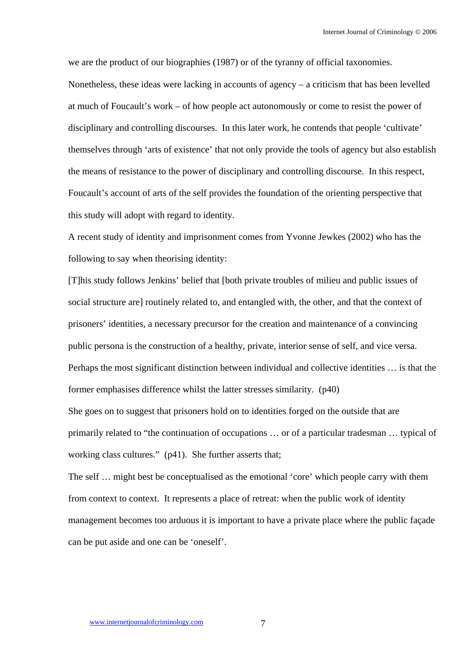we are the product of our biographies (1987) or of the tyranny of official taxonomies. Nonetheless, these ideas were lacking in accounts of agency – a criticism that has been levelled at much of Foucault's work – of how people act autonomously or come to resist the power of disciplinary and controlling discourses. In this later work, he contends that people 'cultivate' themselves through 'arts of existence' that not only provide the tools of agency but also establish the means of resistance to the power of disciplinary and controlling discourse. In this respect, Foucault's account of arts of the self provides the foundation of the orienting perspective that this study will adopt with regard to identity.

A recent study of identity and imprisonment comes from Yvonne Jewkes (2002) who has the following to say when theorising identity:

[T]his study follows Jenkins' belief that [both private troubles of milieu and public issues of social structure are] routinely related to, and entangled with, the other, and that the context of prisoners' identities, a necessary precursor for the creation and maintenance of a convincing public persona is the construction of a healthy, private, interior sense of self, and vice versa. Perhaps the most significant distinction between individual and collective identities … is that the former emphasises difference whilst the latter stresses similarity. (p40)

She goes on to suggest that prisoners hold on to identities forged on the outside that are primarily related to "the continuation of occupations … or of a particular tradesman … typical of working class cultures." (p41). She further asserts that;

The self … might best be conceptualised as the emotional 'core' which people carry with them from context to context. It represents a place of retreat: when the public work of identity management becomes too arduous it is important to have a private place where the public façade can be put aside and one can be 'oneself'.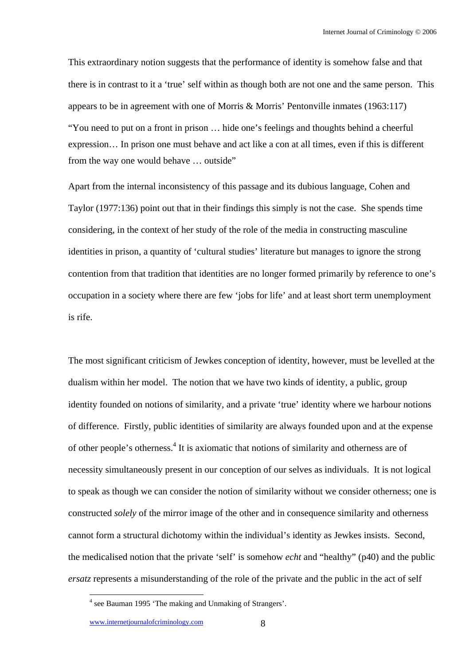This extraordinary notion suggests that the performance of identity is somehow false and that there is in contrast to it a 'true' self within as though both are not one and the same person. This appears to be in agreement with one of Morris & Morris' Pentonville inmates (1963:117) "You need to put on a front in prison … hide one's feelings and thoughts behind a cheerful expression… In prison one must behave and act like a con at all times, even if this is different from the way one would behave … outside"

Apart from the internal inconsistency of this passage and its dubious language, Cohen and Taylor (1977:136) point out that in their findings this simply is not the case. She spends time considering, in the context of her study of the role of the media in constructing masculine identities in prison, a quantity of 'cultural studies' literature but manages to ignore the strong contention from that tradition that identities are no longer formed primarily by reference to one's occupation in a society where there are few 'jobs for life' and at least short term unemployment is rife.

The most significant criticism of Jewkes conception of identity, however, must be levelled at the dualism within her model. The notion that we have two kinds of identity, a public, group identity founded on notions of similarity, and a private 'true' identity where we harbour notions of difference. Firstly, public identities of similarity are always founded upon and at the expense of other people's otherness.<sup>4</sup> It is axiomatic that notions of similarity and otherness are of necessity simultaneously present in our conception of our selves as individuals. It is not logical to speak as though we can consider the notion of similarity without we consider otherness; one is constructed *solely* of the mirror image of the other and in consequence similarity and otherness cannot form a structural dichotomy within the individual's identity as Jewkes insists. Second, the medicalised notion that the private 'self' is somehow *echt* and "healthy" (p40) and the public *ersatz* represents a misunderstanding of the role of the private and the public in the act of self

<sup>&</sup>lt;sup>4</sup> see Bauman 1995 'The making and Unmaking of Strangers'.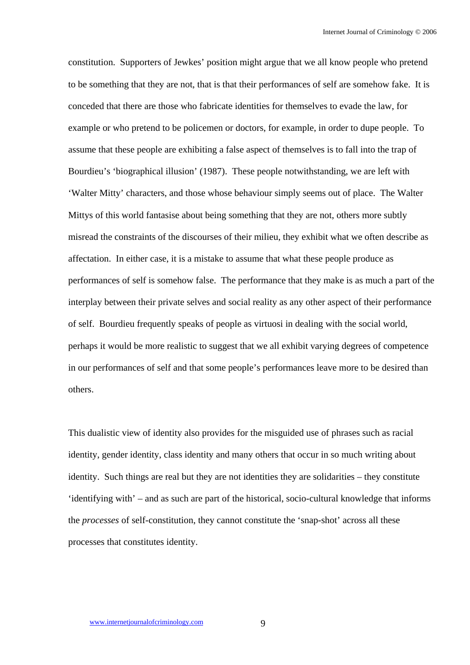constitution. Supporters of Jewkes' position might argue that we all know people who pretend to be something that they are not, that is that their performances of self are somehow fake. It is conceded that there are those who fabricate identities for themselves to evade the law, for example or who pretend to be policemen or doctors, for example, in order to dupe people. To assume that these people are exhibiting a false aspect of themselves is to fall into the trap of Bourdieu's 'biographical illusion' (1987). These people notwithstanding, we are left with 'Walter Mitty' characters, and those whose behaviour simply seems out of place. The Walter Mittys of this world fantasise about being something that they are not, others more subtly misread the constraints of the discourses of their milieu, they exhibit what we often describe as affectation. In either case, it is a mistake to assume that what these people produce as performances of self is somehow false. The performance that they make is as much a part of the interplay between their private selves and social reality as any other aspect of their performance of self. Bourdieu frequently speaks of people as virtuosi in dealing with the social world, perhaps it would be more realistic to suggest that we all exhibit varying degrees of competence in our performances of self and that some people's performances leave more to be desired than others.

This dualistic view of identity also provides for the misguided use of phrases such as racial identity, gender identity, class identity and many others that occur in so much writing about identity. Such things are real but they are not identities they are solidarities – they constitute 'identifying with' – and as such are part of the historical, socio-cultural knowledge that informs the *processes* of self-constitution, they cannot constitute the 'snap-shot' across all these processes that constitutes identity.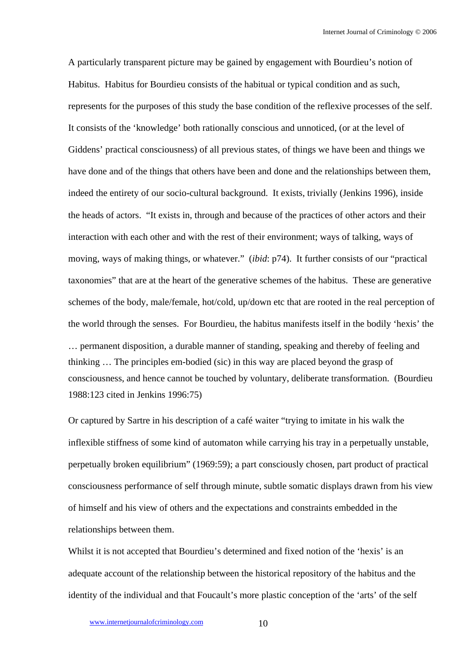A particularly transparent picture may be gained by engagement with Bourdieu's notion of Habitus. Habitus for Bourdieu consists of the habitual or typical condition and as such, represents for the purposes of this study the base condition of the reflexive processes of the self. It consists of the 'knowledge' both rationally conscious and unnoticed, (or at the level of Giddens' practical consciousness) of all previous states, of things we have been and things we have done and of the things that others have been and done and the relationships between them, indeed the entirety of our socio-cultural background. It exists, trivially (Jenkins 1996), inside the heads of actors. "It exists in, through and because of the practices of other actors and their interaction with each other and with the rest of their environment; ways of talking, ways of moving, ways of making things, or whatever." (*ibid*: p74). It further consists of our "practical taxonomies" that are at the heart of the generative schemes of the habitus. These are generative schemes of the body, male/female, hot/cold, up/down etc that are rooted in the real perception of the world through the senses. For Bourdieu, the habitus manifests itself in the bodily 'hexis' the … permanent disposition, a durable manner of standing, speaking and thereby of feeling and thinking … The principles em-bodied (sic) in this way are placed beyond the grasp of consciousness, and hence cannot be touched by voluntary, deliberate transformation. (Bourdieu 1988:123 cited in Jenkins 1996:75)

Or captured by Sartre in his description of a café waiter "trying to imitate in his walk the inflexible stiffness of some kind of automaton while carrying his tray in a perpetually unstable, perpetually broken equilibrium" (1969:59); a part consciously chosen, part product of practical consciousness performance of self through minute, subtle somatic displays drawn from his view of himself and his view of others and the expectations and constraints embedded in the relationships between them.

Whilst it is not accepted that Bourdieu's determined and fixed notion of the 'hexis' is an adequate account of the relationship between the historical repository of the habitus and the identity of the individual and that Foucault's more plastic conception of the 'arts' of the self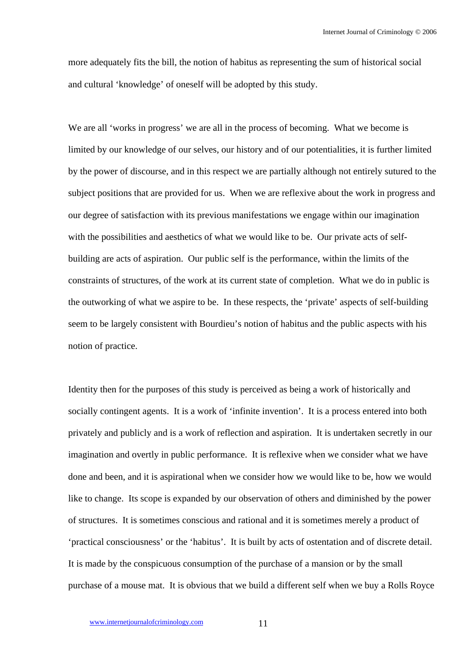more adequately fits the bill, the notion of habitus as representing the sum of historical social and cultural 'knowledge' of oneself will be adopted by this study.

We are all 'works in progress' we are all in the process of becoming. What we become is limited by our knowledge of our selves, our history and of our potentialities, it is further limited by the power of discourse, and in this respect we are partially although not entirely sutured to the subject positions that are provided for us. When we are reflexive about the work in progress and our degree of satisfaction with its previous manifestations we engage within our imagination with the possibilities and aesthetics of what we would like to be. Our private acts of selfbuilding are acts of aspiration. Our public self is the performance, within the limits of the constraints of structures, of the work at its current state of completion. What we do in public is the outworking of what we aspire to be. In these respects, the 'private' aspects of self-building seem to be largely consistent with Bourdieu's notion of habitus and the public aspects with his notion of practice.

Identity then for the purposes of this study is perceived as being a work of historically and socially contingent agents. It is a work of 'infinite invention'. It is a process entered into both privately and publicly and is a work of reflection and aspiration. It is undertaken secretly in our imagination and overtly in public performance. It is reflexive when we consider what we have done and been, and it is aspirational when we consider how we would like to be, how we would like to change. Its scope is expanded by our observation of others and diminished by the power of structures. It is sometimes conscious and rational and it is sometimes merely a product of 'practical consciousness' or the 'habitus'. It is built by acts of ostentation and of discrete detail. It is made by the conspicuous consumption of the purchase of a mansion or by the small purchase of a mouse mat. It is obvious that we build a different self when we buy a Rolls Royce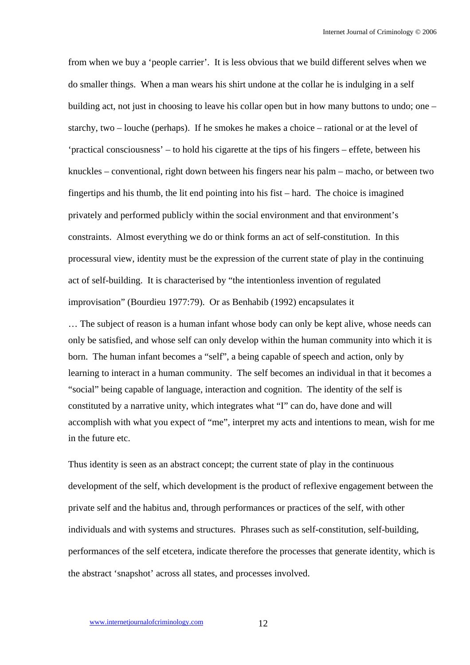from when we buy a 'people carrier'. It is less obvious that we build different selves when we do smaller things. When a man wears his shirt undone at the collar he is indulging in a self building act, not just in choosing to leave his collar open but in how many buttons to undo; one – starchy, two – louche (perhaps). If he smokes he makes a choice – rational or at the level of 'practical consciousness' – to hold his cigarette at the tips of his fingers – effete, between his knuckles – conventional, right down between his fingers near his palm – macho, or between two fingertips and his thumb, the lit end pointing into his fist – hard. The choice is imagined privately and performed publicly within the social environment and that environment's constraints. Almost everything we do or think forms an act of self-constitution. In this processural view, identity must be the expression of the current state of play in the continuing act of self-building. It is characterised by "the intentionless invention of regulated improvisation" (Bourdieu 1977:79). Or as Benhabib (1992) encapsulates it

… The subject of reason is a human infant whose body can only be kept alive, whose needs can only be satisfied, and whose self can only develop within the human community into which it is born. The human infant becomes a "self", a being capable of speech and action, only by learning to interact in a human community. The self becomes an individual in that it becomes a "social" being capable of language, interaction and cognition. The identity of the self is constituted by a narrative unity, which integrates what "I" can do, have done and will accomplish with what you expect of "me", interpret my acts and intentions to mean, wish for me in the future etc.

Thus identity is seen as an abstract concept; the current state of play in the continuous development of the self, which development is the product of reflexive engagement between the private self and the habitus and, through performances or practices of the self, with other individuals and with systems and structures. Phrases such as self-constitution, self-building, performances of the self etcetera, indicate therefore the processes that generate identity, which is the abstract 'snapshot' across all states, and processes involved.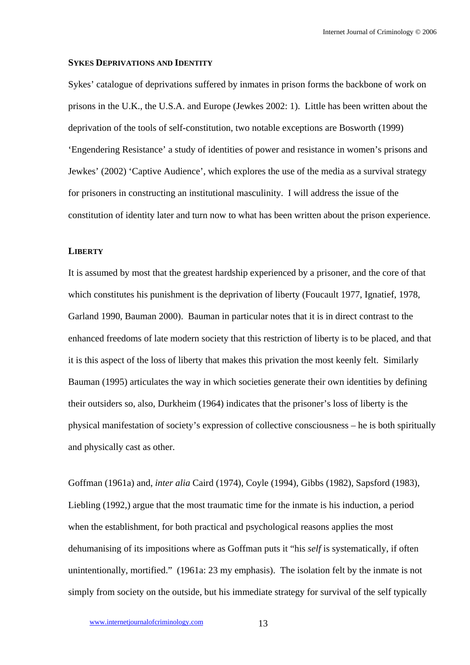#### **SYKES DEPRIVATIONS AND IDENTITY**

Sykes' catalogue of deprivations suffered by inmates in prison forms the backbone of work on prisons in the U.K., the U.S.A. and Europe (Jewkes 2002: 1). Little has been written about the deprivation of the tools of self-constitution, two notable exceptions are Bosworth (1999) 'Engendering Resistance' a study of identities of power and resistance in women's prisons and Jewkes' (2002) 'Captive Audience', which explores the use of the media as a survival strategy for prisoners in constructing an institutional masculinity. I will address the issue of the constitution of identity later and turn now to what has been written about the prison experience.

## **LIBERTY**

It is assumed by most that the greatest hardship experienced by a prisoner, and the core of that which constitutes his punishment is the deprivation of liberty (Foucault 1977, Ignatief, 1978, Garland 1990, Bauman 2000). Bauman in particular notes that it is in direct contrast to the enhanced freedoms of late modern society that this restriction of liberty is to be placed, and that it is this aspect of the loss of liberty that makes this privation the most keenly felt. Similarly Bauman (1995) articulates the way in which societies generate their own identities by defining their outsiders so, also, Durkheim (1964) indicates that the prisoner's loss of liberty is the physical manifestation of society's expression of collective consciousness – he is both spiritually and physically cast as other.

Goffman (1961a) and, *inter alia* Caird (1974), Coyle (1994), Gibbs (1982), Sapsford (1983), Liebling (1992,) argue that the most traumatic time for the inmate is his induction, a period when the establishment, for both practical and psychological reasons applies the most dehumanising of its impositions where as Goffman puts it "his *self* is systematically, if often unintentionally, mortified." (1961a: 23 my emphasis). The isolation felt by the inmate is not simply from society on the outside, but his immediate strategy for survival of the self typically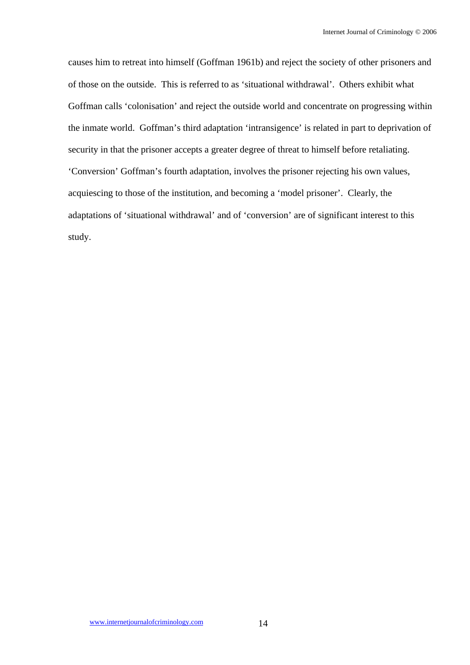causes him to retreat into himself (Goffman 1961b) and reject the society of other prisoners and of those on the outside. This is referred to as 'situational withdrawal'. Others exhibit what Goffman calls 'colonisation' and reject the outside world and concentrate on progressing within the inmate world. Goffman's third adaptation 'intransigence' is related in part to deprivation of security in that the prisoner accepts a greater degree of threat to himself before retaliating. 'Conversion' Goffman's fourth adaptation, involves the prisoner rejecting his own values, acquiescing to those of the institution, and becoming a 'model prisoner'. Clearly, the adaptations of 'situational withdrawal' and of 'conversion' are of significant interest to this study.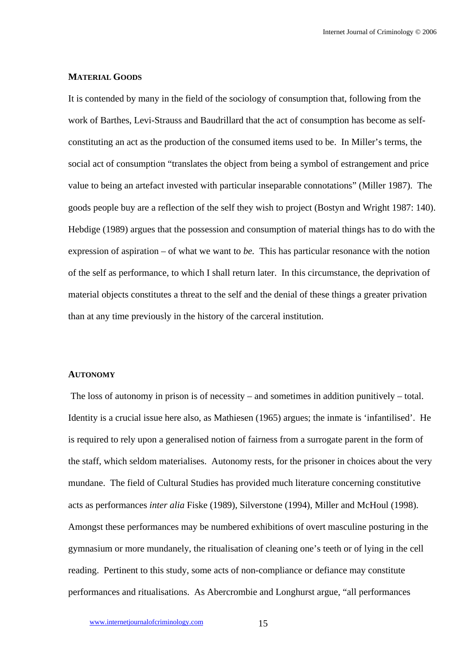# **MATERIAL GOODS**

It is contended by many in the field of the sociology of consumption that, following from the work of Barthes, Levi-Strauss and Baudrillard that the act of consumption has become as selfconstituting an act as the production of the consumed items used to be. In Miller's terms, the social act of consumption "translates the object from being a symbol of estrangement and price value to being an artefact invested with particular inseparable connotations" (Miller 1987). The goods people buy are a reflection of the self they wish to project (Bostyn and Wright 1987: 140). Hebdige (1989) argues that the possession and consumption of material things has to do with the expression of aspiration – of what we want to *be.* This has particular resonance with the notion of the self as performance, to which I shall return later. In this circumstance, the deprivation of material objects constitutes a threat to the self and the denial of these things a greater privation than at any time previously in the history of the carceral institution.

#### **AUTONOMY**

 The loss of autonomy in prison is of necessity – and sometimes in addition punitively – total. Identity is a crucial issue here also, as Mathiesen (1965) argues; the inmate is 'infantilised'. He is required to rely upon a generalised notion of fairness from a surrogate parent in the form of the staff, which seldom materialises. Autonomy rests, for the prisoner in choices about the very mundane. The field of Cultural Studies has provided much literature concerning constitutive acts as performances *inter alia* Fiske (1989), Silverstone (1994), Miller and McHoul (1998). Amongst these performances may be numbered exhibitions of overt masculine posturing in the gymnasium or more mundanely, the ritualisation of cleaning one's teeth or of lying in the cell reading. Pertinent to this study, some acts of non-compliance or defiance may constitute performances and ritualisations. As Abercrombie and Longhurst argue, "all performances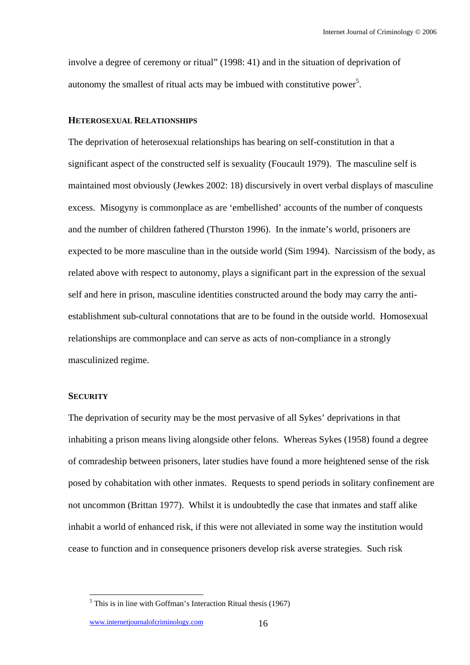involve a degree of ceremony or ritual" (1998: 41) and in the situation of deprivation of autonomy the smallest of ritual acts may be imbued with constitutive power<sup>5</sup>.

## **HETEROSEXUAL RELATIONSHIPS**

The deprivation of heterosexual relationships has bearing on self-constitution in that a significant aspect of the constructed self is sexuality (Foucault 1979). The masculine self is maintained most obviously (Jewkes 2002: 18) discursively in overt verbal displays of masculine excess. Misogyny is commonplace as are 'embellished' accounts of the number of conquests and the number of children fathered (Thurston 1996). In the inmate's world, prisoners are expected to be more masculine than in the outside world (Sim 1994). Narcissism of the body, as related above with respect to autonomy, plays a significant part in the expression of the sexual self and here in prison, masculine identities constructed around the body may carry the antiestablishment sub-cultural connotations that are to be found in the outside world. Homosexual relationships are commonplace and can serve as acts of non-compliance in a strongly masculinized regime.

# **SECURITY**

 $\overline{a}$ 

The deprivation of security may be the most pervasive of all Sykes' deprivations in that inhabiting a prison means living alongside other felons. Whereas Sykes (1958) found a degree of comradeship between prisoners, later studies have found a more heightened sense of the risk posed by cohabitation with other inmates. Requests to spend periods in solitary confinement are not uncommon (Brittan 1977). Whilst it is undoubtedly the case that inmates and staff alike inhabit a world of enhanced risk, if this were not alleviated in some way the institution would cease to function and in consequence prisoners develop risk averse strategies. Such risk

www.internetjournalofcriminology.com 16

 $<sup>5</sup>$  This is in line with Goffman's Interaction Ritual thesis (1967)</sup>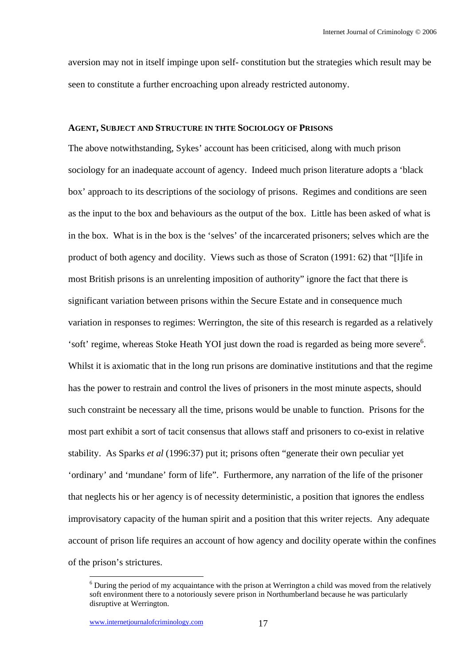aversion may not in itself impinge upon self- constitution but the strategies which result may be seen to constitute a further encroaching upon already restricted autonomy.

# **AGENT, SUBJECT AND STRUCTURE IN THTE SOCIOLOGY OF PRISONS**

The above notwithstanding, Sykes' account has been criticised, along with much prison sociology for an inadequate account of agency. Indeed much prison literature adopts a 'black box' approach to its descriptions of the sociology of prisons. Regimes and conditions are seen as the input to the box and behaviours as the output of the box. Little has been asked of what is in the box. What is in the box is the 'selves' of the incarcerated prisoners; selves which are the product of both agency and docility. Views such as those of Scraton (1991: 62) that "[l]ife in most British prisons is an unrelenting imposition of authority" ignore the fact that there is significant variation between prisons within the Secure Estate and in consequence much variation in responses to regimes: Werrington, the site of this research is regarded as a relatively 'soft' regime, whereas Stoke Heath YOI just down the road is regarded as being more severe<sup>6</sup>. Whilst it is axiomatic that in the long run prisons are dominative institutions and that the regime has the power to restrain and control the lives of prisoners in the most minute aspects, should such constraint be necessary all the time, prisons would be unable to function. Prisons for the most part exhibit a sort of tacit consensus that allows staff and prisoners to co-exist in relative stability. As Sparks *et al* (1996:37) put it; prisons often "generate their own peculiar yet 'ordinary' and 'mundane' form of life". Furthermore, any narration of the life of the prisoner that neglects his or her agency is of necessity deterministic, a position that ignores the endless improvisatory capacity of the human spirit and a position that this writer rejects. Any adequate account of prison life requires an account of how agency and docility operate within the confines of the prison's strictures.

<sup>&</sup>lt;sup>6</sup> During the period of my acquaintance with the prison at Werrington a child was moved from the relatively soft environment there to a notoriously severe prison in Northumberland because he was particularly disruptive at Werrington.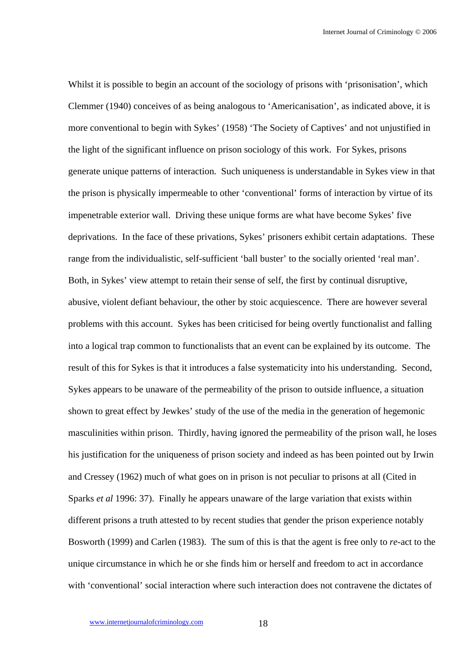Whilst it is possible to begin an account of the sociology of prisons with 'prisonisation', which Clemmer (1940) conceives of as being analogous to 'Americanisation', as indicated above, it is more conventional to begin with Sykes' (1958) 'The Society of Captives' and not unjustified in the light of the significant influence on prison sociology of this work. For Sykes, prisons generate unique patterns of interaction. Such uniqueness is understandable in Sykes view in that the prison is physically impermeable to other 'conventional' forms of interaction by virtue of its impenetrable exterior wall. Driving these unique forms are what have become Sykes' five deprivations. In the face of these privations, Sykes' prisoners exhibit certain adaptations. These range from the individualistic, self-sufficient 'ball buster' to the socially oriented 'real man'. Both, in Sykes' view attempt to retain their sense of self, the first by continual disruptive, abusive, violent defiant behaviour, the other by stoic acquiescence. There are however several problems with this account. Sykes has been criticised for being overtly functionalist and falling into a logical trap common to functionalists that an event can be explained by its outcome. The result of this for Sykes is that it introduces a false systematicity into his understanding. Second, Sykes appears to be unaware of the permeability of the prison to outside influence, a situation shown to great effect by Jewkes' study of the use of the media in the generation of hegemonic masculinities within prison. Thirdly, having ignored the permeability of the prison wall, he loses his justification for the uniqueness of prison society and indeed as has been pointed out by Irwin and Cressey (1962) much of what goes on in prison is not peculiar to prisons at all (Cited in Sparks *et al* 1996: 37). Finally he appears unaware of the large variation that exists within different prisons a truth attested to by recent studies that gender the prison experience notably Bosworth (1999) and Carlen (1983). The sum of this is that the agent is free only to *re-*act to the unique circumstance in which he or she finds him or herself and freedom to act in accordance with 'conventional' social interaction where such interaction does not contravene the dictates of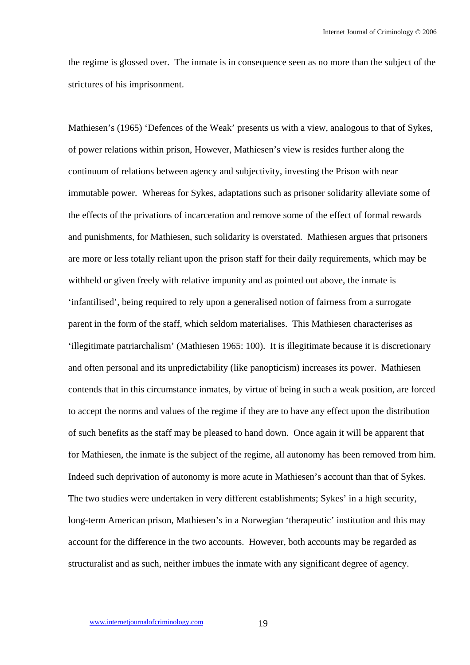the regime is glossed over. The inmate is in consequence seen as no more than the subject of the strictures of his imprisonment.

Mathiesen's (1965) 'Defences of the Weak' presents us with a view, analogous to that of Sykes, of power relations within prison, However, Mathiesen's view is resides further along the continuum of relations between agency and subjectivity, investing the Prison with near immutable power. Whereas for Sykes, adaptations such as prisoner solidarity alleviate some of the effects of the privations of incarceration and remove some of the effect of formal rewards and punishments, for Mathiesen, such solidarity is overstated. Mathiesen argues that prisoners are more or less totally reliant upon the prison staff for their daily requirements, which may be withheld or given freely with relative impunity and as pointed out above, the inmate is 'infantilised', being required to rely upon a generalised notion of fairness from a surrogate parent in the form of the staff, which seldom materialises. This Mathiesen characterises as 'illegitimate patriarchalism' (Mathiesen 1965: 100). It is illegitimate because it is discretionary and often personal and its unpredictability (like panopticism) increases its power. Mathiesen contends that in this circumstance inmates, by virtue of being in such a weak position, are forced to accept the norms and values of the regime if they are to have any effect upon the distribution of such benefits as the staff may be pleased to hand down. Once again it will be apparent that for Mathiesen, the inmate is the subject of the regime, all autonomy has been removed from him. Indeed such deprivation of autonomy is more acute in Mathiesen's account than that of Sykes. The two studies were undertaken in very different establishments; Sykes' in a high security, long-term American prison, Mathiesen's in a Norwegian 'therapeutic' institution and this may account for the difference in the two accounts. However, both accounts may be regarded as structuralist and as such, neither imbues the inmate with any significant degree of agency.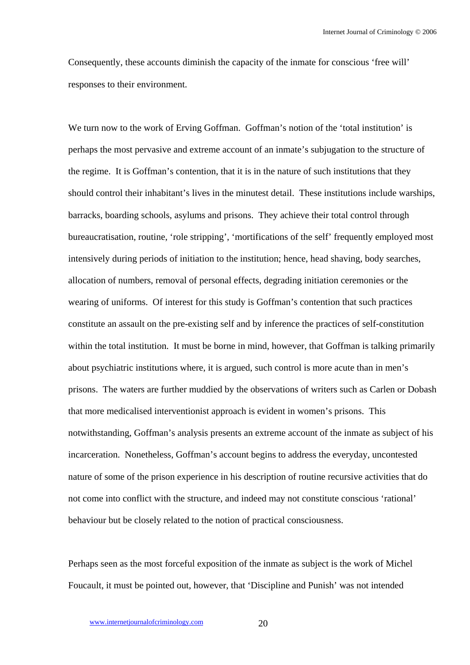Consequently, these accounts diminish the capacity of the inmate for conscious 'free will' responses to their environment.

We turn now to the work of Erving Goffman. Goffman's notion of the 'total institution' is perhaps the most pervasive and extreme account of an inmate's subjugation to the structure of the regime. It is Goffman's contention, that it is in the nature of such institutions that they should control their inhabitant's lives in the minutest detail. These institutions include warships, barracks, boarding schools, asylums and prisons. They achieve their total control through bureaucratisation, routine, 'role stripping', 'mortifications of the self' frequently employed most intensively during periods of initiation to the institution; hence, head shaving, body searches, allocation of numbers, removal of personal effects, degrading initiation ceremonies or the wearing of uniforms. Of interest for this study is Goffman's contention that such practices constitute an assault on the pre-existing self and by inference the practices of self-constitution within the total institution. It must be borne in mind, however, that Goffman is talking primarily about psychiatric institutions where, it is argued, such control is more acute than in men's prisons. The waters are further muddied by the observations of writers such as Carlen or Dobash that more medicalised interventionist approach is evident in women's prisons. This notwithstanding, Goffman's analysis presents an extreme account of the inmate as subject of his incarceration. Nonetheless, Goffman's account begins to address the everyday, uncontested nature of some of the prison experience in his description of routine recursive activities that do not come into conflict with the structure, and indeed may not constitute conscious 'rational' behaviour but be closely related to the notion of practical consciousness.

Perhaps seen as the most forceful exposition of the inmate as subject is the work of Michel Foucault, it must be pointed out, however, that 'Discipline and Punish' was not intended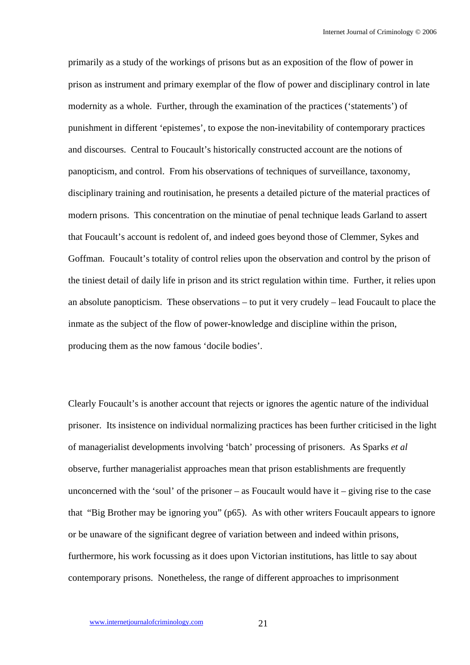primarily as a study of the workings of prisons but as an exposition of the flow of power in prison as instrument and primary exemplar of the flow of power and disciplinary control in late modernity as a whole. Further, through the examination of the practices ('statements') of punishment in different 'epistemes', to expose the non-inevitability of contemporary practices and discourses. Central to Foucault's historically constructed account are the notions of panopticism, and control. From his observations of techniques of surveillance, taxonomy, disciplinary training and routinisation, he presents a detailed picture of the material practices of modern prisons. This concentration on the minutiae of penal technique leads Garland to assert that Foucault's account is redolent of, and indeed goes beyond those of Clemmer, Sykes and Goffman. Foucault's totality of control relies upon the observation and control by the prison of the tiniest detail of daily life in prison and its strict regulation within time. Further, it relies upon an absolute panopticism. These observations – to put it very crudely – lead Foucault to place the inmate as the subject of the flow of power-knowledge and discipline within the prison, producing them as the now famous 'docile bodies'.

Clearly Foucault's is another account that rejects or ignores the agentic nature of the individual prisoner. Its insistence on individual normalizing practices has been further criticised in the light of managerialist developments involving 'batch' processing of prisoners. As Sparks *et al*  observe, further managerialist approaches mean that prison establishments are frequently unconcerned with the 'soul' of the prisoner – as Foucault would have  $it - giving$  rise to the case that "Big Brother may be ignoring you" (p65). As with other writers Foucault appears to ignore or be unaware of the significant degree of variation between and indeed within prisons, furthermore, his work focussing as it does upon Victorian institutions, has little to say about contemporary prisons. Nonetheless, the range of different approaches to imprisonment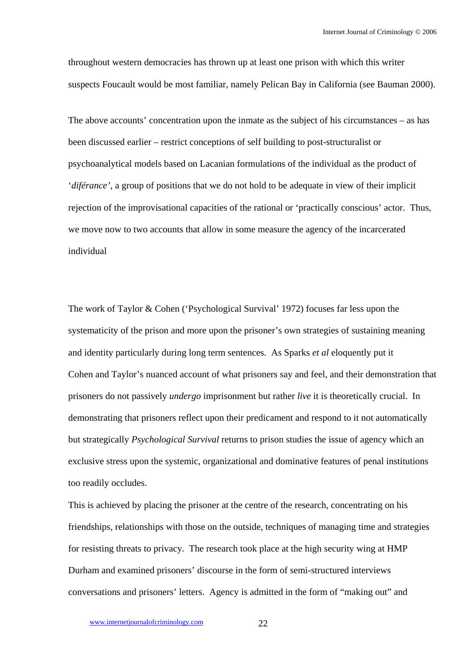throughout western democracies has thrown up at least one prison with which this writer suspects Foucault would be most familiar, namely Pelican Bay in California (see Bauman 2000).

The above accounts' concentration upon the inmate as the subject of his circumstances – as has been discussed earlier – restrict conceptions of self building to post-structuralist or psychoanalytical models based on Lacanian formulations of the individual as the product of '*diférance'*, a group of positions that we do not hold to be adequate in view of their implicit rejection of the improvisational capacities of the rational or 'practically conscious' actor. Thus, we move now to two accounts that allow in some measure the agency of the incarcerated individual

The work of Taylor & Cohen ('Psychological Survival' 1972) focuses far less upon the systematicity of the prison and more upon the prisoner's own strategies of sustaining meaning and identity particularly during long term sentences. As Sparks *et al* eloquently put it Cohen and Taylor's nuanced account of what prisoners say and feel, and their demonstration that prisoners do not passively *undergo* imprisonment but rather *live* it is theoretically crucial. In demonstrating that prisoners reflect upon their predicament and respond to it not automatically but strategically *Psychological Survival* returns to prison studies the issue of agency which an exclusive stress upon the systemic, organizational and dominative features of penal institutions too readily occludes.

This is achieved by placing the prisoner at the centre of the research, concentrating on his friendships, relationships with those on the outside, techniques of managing time and strategies for resisting threats to privacy. The research took place at the high security wing at HMP Durham and examined prisoners' discourse in the form of semi-structured interviews conversations and prisoners' letters. Agency is admitted in the form of "making out" and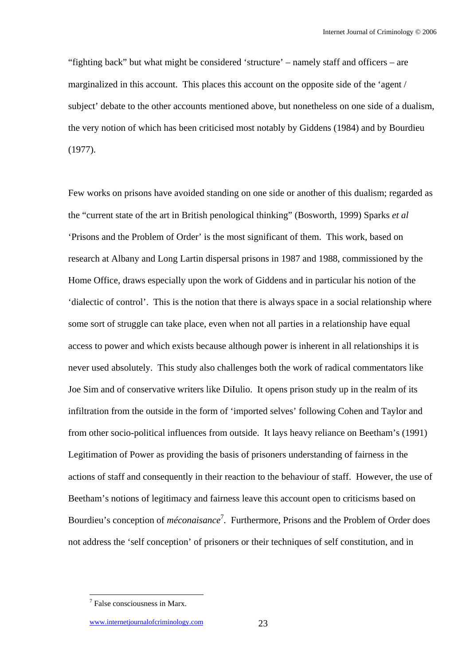"fighting back" but what might be considered 'structure' – namely staff and officers – are marginalized in this account. This places this account on the opposite side of the 'agent / subject' debate to the other accounts mentioned above, but nonetheless on one side of a dualism, the very notion of which has been criticised most notably by Giddens (1984) and by Bourdieu (1977).

Few works on prisons have avoided standing on one side or another of this dualism; regarded as the "current state of the art in British penological thinking" (Bosworth, 1999) Sparks *et al* 'Prisons and the Problem of Order' is the most significant of them. This work, based on research at Albany and Long Lartin dispersal prisons in 1987 and 1988, commissioned by the Home Office, draws especially upon the work of Giddens and in particular his notion of the 'dialectic of control'. This is the notion that there is always space in a social relationship where some sort of struggle can take place, even when not all parties in a relationship have equal access to power and which exists because although power is inherent in all relationships it is never used absolutely. This study also challenges both the work of radical commentators like Joe Sim and of conservative writers like DiIulio. It opens prison study up in the realm of its infiltration from the outside in the form of 'imported selves' following Cohen and Taylor and from other socio-political influences from outside. It lays heavy reliance on Beetham's (1991) Legitimation of Power as providing the basis of prisoners understanding of fairness in the actions of staff and consequently in their reaction to the behaviour of staff. However, the use of Beetham's notions of legitimacy and fairness leave this account open to criticisms based on Bourdieu's conception of *méconaisance*<sup>7</sup> *.* Furthermore, Prisons and the Problem of Order does not address the 'self conception' of prisoners or their techniques of self constitution, and in

<sup>7</sup> False consciousness in Marx.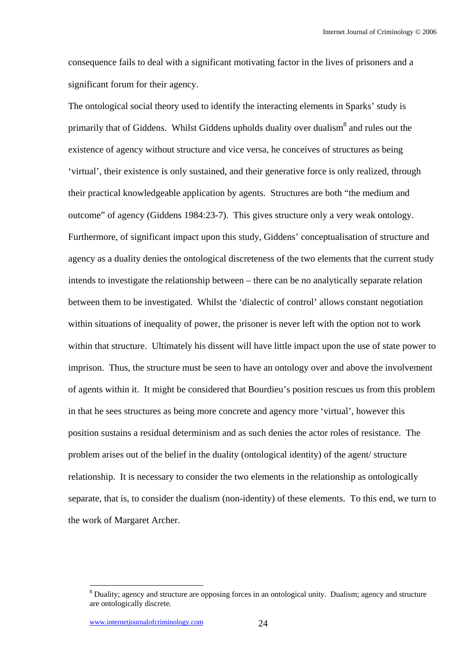consequence fails to deal with a significant motivating factor in the lives of prisoners and a significant forum for their agency.

The ontological social theory used to identify the interacting elements in Sparks' study is primarily that of Giddens. Whilst Giddens upholds duality over dualism<sup>8</sup> and rules out the existence of agency without structure and vice versa, he conceives of structures as being 'virtual', their existence is only sustained, and their generative force is only realized, through their practical knowledgeable application by agents. Structures are both "the medium and outcome" of agency (Giddens 1984:23-7). This gives structure only a very weak ontology. Furthermore, of significant impact upon this study, Giddens' conceptualisation of structure and agency as a duality denies the ontological discreteness of the two elements that the current study intends to investigate the relationship between – there can be no analytically separate relation between them to be investigated. Whilst the 'dialectic of control' allows constant negotiation within situations of inequality of power, the prisoner is never left with the option not to work within that structure. Ultimately his dissent will have little impact upon the use of state power to imprison. Thus, the structure must be seen to have an ontology over and above the involvement of agents within it. It might be considered that Bourdieu's position rescues us from this problem in that he sees structures as being more concrete and agency more 'virtual', however this position sustains a residual determinism and as such denies the actor roles of resistance. The problem arises out of the belief in the duality (ontological identity) of the agent/ structure relationship. It is necessary to consider the two elements in the relationship as ontologically separate, that is, to consider the dualism (non-identity) of these elements. To this end, we turn to the work of Margaret Archer.

<sup>&</sup>lt;sup>8</sup> Duality; agency and structure are opposing forces in an ontological unity. Dualism; agency and structure are ontologically discrete.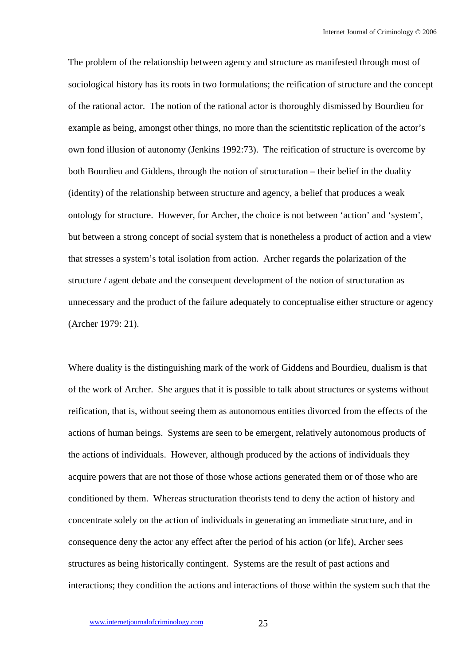The problem of the relationship between agency and structure as manifested through most of sociological history has its roots in two formulations; the reification of structure and the concept of the rational actor. The notion of the rational actor is thoroughly dismissed by Bourdieu for example as being, amongst other things, no more than the scientitstic replication of the actor's own fond illusion of autonomy (Jenkins 1992:73). The reification of structure is overcome by both Bourdieu and Giddens, through the notion of structuration – their belief in the duality (identity) of the relationship between structure and agency, a belief that produces a weak ontology for structure. However, for Archer, the choice is not between 'action' and 'system', but between a strong concept of social system that is nonetheless a product of action and a view that stresses a system's total isolation from action. Archer regards the polarization of the structure / agent debate and the consequent development of the notion of structuration as unnecessary and the product of the failure adequately to conceptualise either structure or agency (Archer 1979: 21).

Where duality is the distinguishing mark of the work of Giddens and Bourdieu, dualism is that of the work of Archer. She argues that it is possible to talk about structures or systems without reification, that is, without seeing them as autonomous entities divorced from the effects of the actions of human beings. Systems are seen to be emergent, relatively autonomous products of the actions of individuals. However, although produced by the actions of individuals they acquire powers that are not those of those whose actions generated them or of those who are conditioned by them. Whereas structuration theorists tend to deny the action of history and concentrate solely on the action of individuals in generating an immediate structure, and in consequence deny the actor any effect after the period of his action (or life), Archer sees structures as being historically contingent. Systems are the result of past actions and interactions; they condition the actions and interactions of those within the system such that the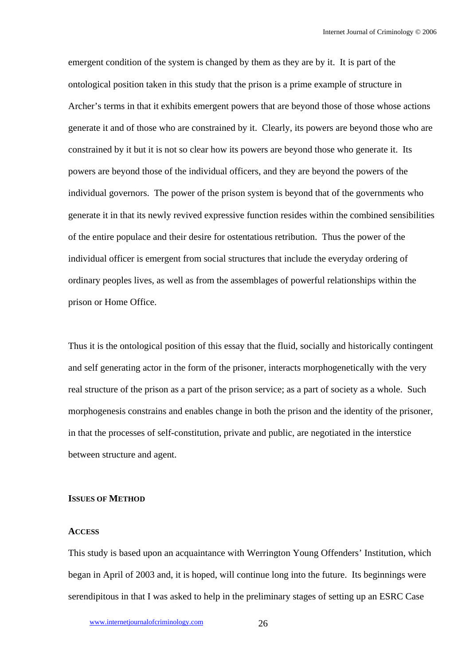emergent condition of the system is changed by them as they are by it. It is part of the ontological position taken in this study that the prison is a prime example of structure in Archer's terms in that it exhibits emergent powers that are beyond those of those whose actions generate it and of those who are constrained by it. Clearly, its powers are beyond those who are constrained by it but it is not so clear how its powers are beyond those who generate it. Its powers are beyond those of the individual officers, and they are beyond the powers of the individual governors. The power of the prison system is beyond that of the governments who generate it in that its newly revived expressive function resides within the combined sensibilities of the entire populace and their desire for ostentatious retribution. Thus the power of the individual officer is emergent from social structures that include the everyday ordering of ordinary peoples lives, as well as from the assemblages of powerful relationships within the prison or Home Office.

Thus it is the ontological position of this essay that the fluid, socially and historically contingent and self generating actor in the form of the prisoner, interacts morphogenetically with the very real structure of the prison as a part of the prison service; as a part of society as a whole. Such morphogenesis constrains and enables change in both the prison and the identity of the prisoner, in that the processes of self-constitution, private and public, are negotiated in the interstice between structure and agent.

#### **ISSUES OF METHOD**

## **ACCESS**

This study is based upon an acquaintance with Werrington Young Offenders' Institution, which began in April of 2003 and, it is hoped, will continue long into the future. Its beginnings were serendipitous in that I was asked to help in the preliminary stages of setting up an ESRC Case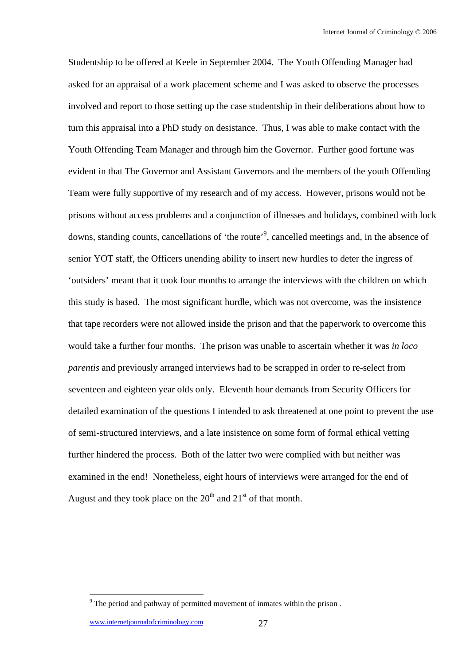Studentship to be offered at Keele in September 2004. The Youth Offending Manager had asked for an appraisal of a work placement scheme and I was asked to observe the processes involved and report to those setting up the case studentship in their deliberations about how to turn this appraisal into a PhD study on desistance. Thus, I was able to make contact with the Youth Offending Team Manager and through him the Governor. Further good fortune was evident in that The Governor and Assistant Governors and the members of the youth Offending Team were fully supportive of my research and of my access. However, prisons would not be prisons without access problems and a conjunction of illnesses and holidays, combined with lock downs, standing counts, cancellations of 'the route'<sup>9</sup>, cancelled meetings and, in the absence of senior YOT staff, the Officers unending ability to insert new hurdles to deter the ingress of 'outsiders' meant that it took four months to arrange the interviews with the children on which this study is based. The most significant hurdle, which was not overcome, was the insistence that tape recorders were not allowed inside the prison and that the paperwork to overcome this would take a further four months. The prison was unable to ascertain whether it was *in loco parentis* and previously arranged interviews had to be scrapped in order to re-select from seventeen and eighteen year olds only. Eleventh hour demands from Security Officers for detailed examination of the questions I intended to ask threatened at one point to prevent the use of semi-structured interviews, and a late insistence on some form of formal ethical vetting further hindered the process. Both of the latter two were complied with but neither was examined in the end! Nonetheless, eight hours of interviews were arranged for the end of August and they took place on the  $20<sup>th</sup>$  and  $21<sup>st</sup>$  of that month.

<sup>&</sup>lt;sup>9</sup> The period and pathway of permitted movement of inmates within the prison.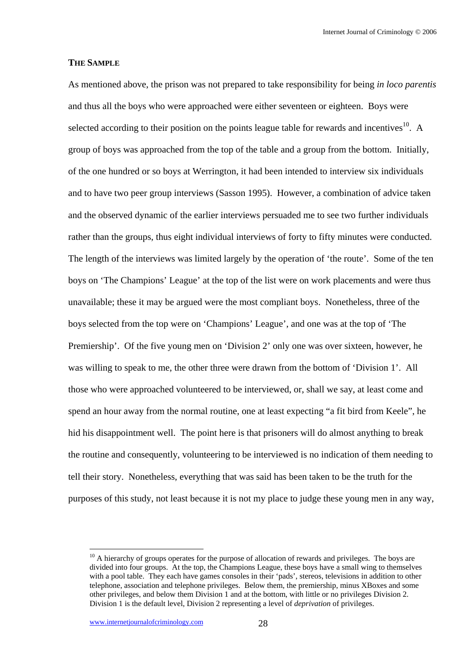## **THE SAMPLE**

As mentioned above, the prison was not prepared to take responsibility for being *in loco parentis* and thus all the boys who were approached were either seventeen or eighteen. Boys were selected according to their position on the points league table for rewards and incentives $^{10}$ . A group of boys was approached from the top of the table and a group from the bottom. Initially, of the one hundred or so boys at Werrington, it had been intended to interview six individuals and to have two peer group interviews (Sasson 1995). However, a combination of advice taken and the observed dynamic of the earlier interviews persuaded me to see two further individuals rather than the groups, thus eight individual interviews of forty to fifty minutes were conducted. The length of the interviews was limited largely by the operation of 'the route'. Some of the ten boys on 'The Champions' League' at the top of the list were on work placements and were thus unavailable; these it may be argued were the most compliant boys. Nonetheless, three of the boys selected from the top were on 'Champions' League', and one was at the top of 'The Premiership'. Of the five young men on 'Division 2' only one was over sixteen, however, he was willing to speak to me, the other three were drawn from the bottom of 'Division 1'. All those who were approached volunteered to be interviewed, or, shall we say, at least come and spend an hour away from the normal routine, one at least expecting "a fit bird from Keele", he hid his disappointment well. The point here is that prisoners will do almost anything to break the routine and consequently, volunteering to be interviewed is no indication of them needing to tell their story. Nonetheless, everything that was said has been taken to be the truth for the purposes of this study, not least because it is not my place to judge these young men in any way,

 $10$  A hierarchy of groups operates for the purpose of allocation of rewards and privileges. The boys are divided into four groups. At the top, the Champions League, these boys have a small wing to themselves with a pool table. They each have games consoles in their 'pads', stereos, televisions in addition to other telephone, association and telephone privileges. Below them, the premiership, minus XBoxes and some other privileges, and below them Division 1 and at the bottom, with little or no privileges Division 2. Division 1 is the default level, Division 2 representing a level of *deprivation* of privileges.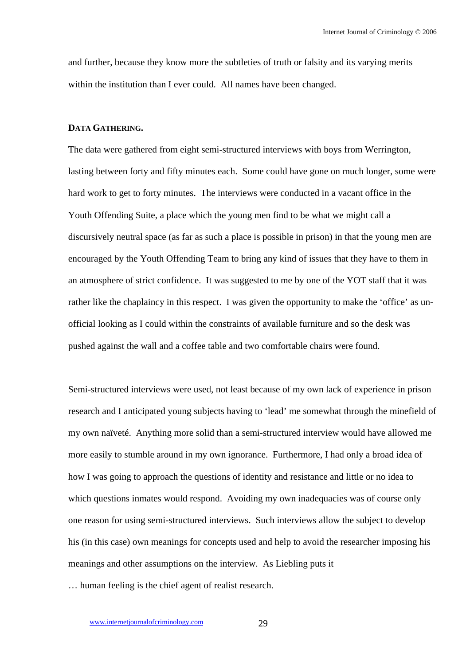and further, because they know more the subtleties of truth or falsity and its varying merits within the institution than I ever could. All names have been changed.

## **DATA GATHERING.**

The data were gathered from eight semi-structured interviews with boys from Werrington, lasting between forty and fifty minutes each. Some could have gone on much longer, some were hard work to get to forty minutes. The interviews were conducted in a vacant office in the Youth Offending Suite, a place which the young men find to be what we might call a discursively neutral space (as far as such a place is possible in prison) in that the young men are encouraged by the Youth Offending Team to bring any kind of issues that they have to them in an atmosphere of strict confidence. It was suggested to me by one of the YOT staff that it was rather like the chaplaincy in this respect. I was given the opportunity to make the 'office' as unofficial looking as I could within the constraints of available furniture and so the desk was pushed against the wall and a coffee table and two comfortable chairs were found.

Semi-structured interviews were used, not least because of my own lack of experience in prison research and I anticipated young subjects having to 'lead' me somewhat through the minefield of my own naïveté. Anything more solid than a semi-structured interview would have allowed me more easily to stumble around in my own ignorance. Furthermore, I had only a broad idea of how I was going to approach the questions of identity and resistance and little or no idea to which questions inmates would respond. Avoiding my own inadequacies was of course only one reason for using semi-structured interviews. Such interviews allow the subject to develop his (in this case) own meanings for concepts used and help to avoid the researcher imposing his meanings and other assumptions on the interview. As Liebling puts it … human feeling is the chief agent of realist research.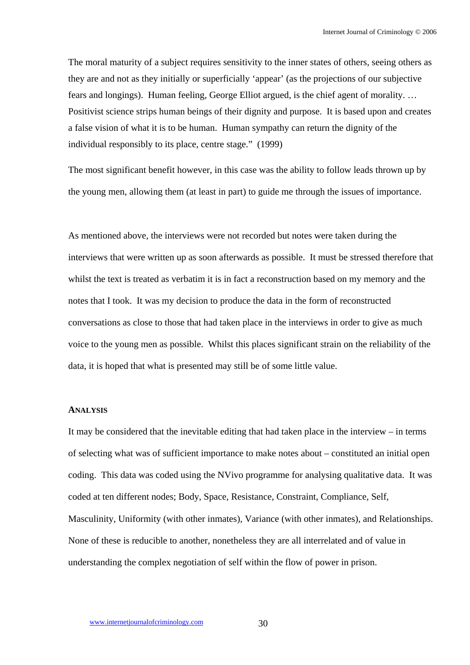The moral maturity of a subject requires sensitivity to the inner states of others, seeing others as they are and not as they initially or superficially 'appear' (as the projections of our subjective fears and longings). Human feeling, George Elliot argued, is the chief agent of morality. … Positivist science strips human beings of their dignity and purpose. It is based upon and creates a false vision of what it is to be human. Human sympathy can return the dignity of the individual responsibly to its place, centre stage." (1999)

The most significant benefit however, in this case was the ability to follow leads thrown up by the young men, allowing them (at least in part) to guide me through the issues of importance.

As mentioned above, the interviews were not recorded but notes were taken during the interviews that were written up as soon afterwards as possible. It must be stressed therefore that whilst the text is treated as verbatim it is in fact a reconstruction based on my memory and the notes that I took. It was my decision to produce the data in the form of reconstructed conversations as close to those that had taken place in the interviews in order to give as much voice to the young men as possible. Whilst this places significant strain on the reliability of the data, it is hoped that what is presented may still be of some little value.

## **ANALYSIS**

It may be considered that the inevitable editing that had taken place in the interview – in terms of selecting what was of sufficient importance to make notes about – constituted an initial open coding. This data was coded using the NVivo programme for analysing qualitative data. It was coded at ten different nodes; Body, Space, Resistance, Constraint, Compliance, Self, Masculinity, Uniformity (with other inmates), Variance (with other inmates), and Relationships. None of these is reducible to another, nonetheless they are all interrelated and of value in understanding the complex negotiation of self within the flow of power in prison.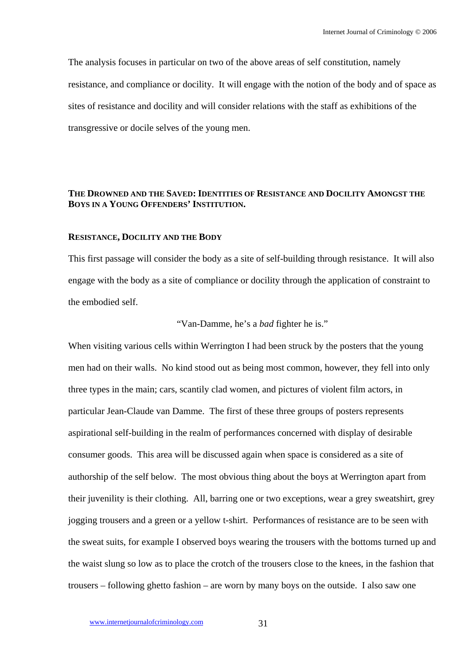The analysis focuses in particular on two of the above areas of self constitution, namely resistance, and compliance or docility. It will engage with the notion of the body and of space as sites of resistance and docility and will consider relations with the staff as exhibitions of the transgressive or docile selves of the young men.

# **THE DROWNED AND THE SAVED: IDENTITIES OF RESISTANCE AND DOCILITY AMONGST THE BOYS IN A YOUNG OFFENDERS' INSTITUTION.**

#### **RESISTANCE, DOCILITY AND THE BODY**

This first passage will consider the body as a site of self-building through resistance. It will also engage with the body as a site of compliance or docility through the application of constraint to the embodied self.

# "Van-Damme, he's a *bad* fighter he is."

When visiting various cells within Werrington I had been struck by the posters that the young men had on their walls. No kind stood out as being most common, however, they fell into only three types in the main; cars, scantily clad women, and pictures of violent film actors, in particular Jean-Claude van Damme. The first of these three groups of posters represents aspirational self-building in the realm of performances concerned with display of desirable consumer goods. This area will be discussed again when space is considered as a site of authorship of the self below. The most obvious thing about the boys at Werrington apart from their juvenility is their clothing. All, barring one or two exceptions, wear a grey sweatshirt, grey jogging trousers and a green or a yellow t-shirt. Performances of resistance are to be seen with the sweat suits, for example I observed boys wearing the trousers with the bottoms turned up and the waist slung so low as to place the crotch of the trousers close to the knees, in the fashion that trousers – following ghetto fashion – are worn by many boys on the outside. I also saw one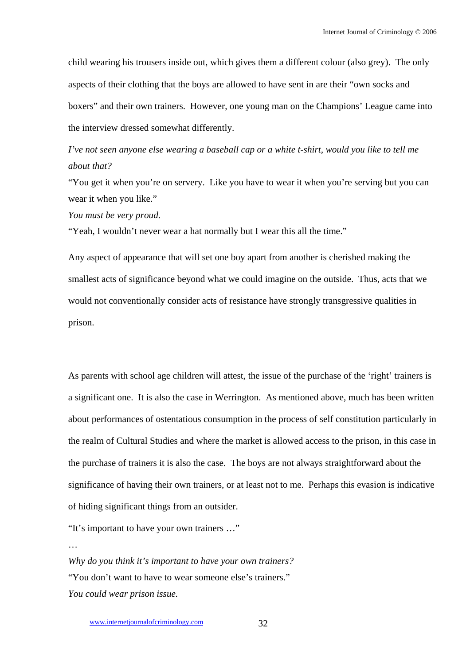child wearing his trousers inside out, which gives them a different colour (also grey). The only aspects of their clothing that the boys are allowed to have sent in are their "own socks and boxers" and their own trainers. However, one young man on the Champions' League came into the interview dressed somewhat differently.

*I've not seen anyone else wearing a baseball cap or a white t-shirt, would you like to tell me about that?* 

"You get it when you're on servery. Like you have to wear it when you're serving but you can wear it when you like."

*You must be very proud.*

"Yeah, I wouldn't never wear a hat normally but I wear this all the time."

Any aspect of appearance that will set one boy apart from another is cherished making the smallest acts of significance beyond what we could imagine on the outside. Thus, acts that we would not conventionally consider acts of resistance have strongly transgressive qualities in prison.

As parents with school age children will attest, the issue of the purchase of the 'right' trainers is a significant one. It is also the case in Werrington. As mentioned above, much has been written about performances of ostentatious consumption in the process of self constitution particularly in the realm of Cultural Studies and where the market is allowed access to the prison, in this case in the purchase of trainers it is also the case. The boys are not always straightforward about the significance of having their own trainers, or at least not to me. Perhaps this evasion is indicative of hiding significant things from an outsider.

"It's important to have your own trainers …"

…

*Why do you think it's important to have your own trainers?*  "You don't want to have to wear someone else's trainers." *You could wear prison issue.*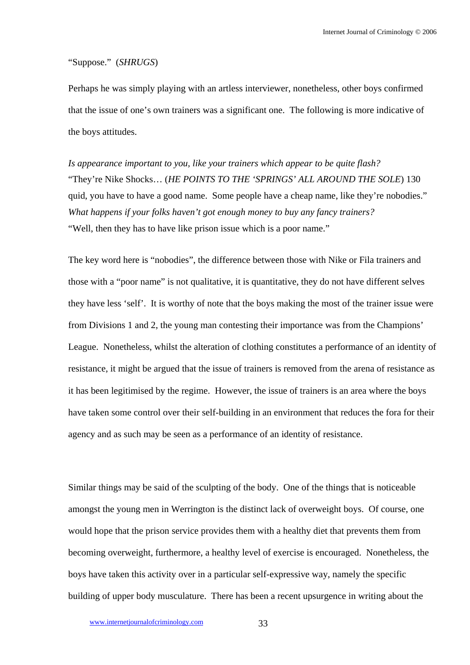## "Suppose." (*SHRUGS*)

Perhaps he was simply playing with an artless interviewer, nonetheless, other boys confirmed that the issue of one's own trainers was a significant one. The following is more indicative of the boys attitudes.

*Is appearance important to you, like your trainers which appear to be quite flash?*  "They're Nike Shocks… (*HE POINTS TO THE 'SPRINGS' ALL AROUND THE SOLE*) 130 quid, you have to have a good name. Some people have a cheap name, like they're nobodies." *What happens if your folks haven't got enough money to buy any fancy trainers?*  "Well, then they has to have like prison issue which is a poor name."

The key word here is "nobodies", the difference between those with Nike or Fila trainers and those with a "poor name" is not qualitative, it is quantitative, they do not have different selves they have less 'self'. It is worthy of note that the boys making the most of the trainer issue were from Divisions 1 and 2, the young man contesting their importance was from the Champions' League. Nonetheless, whilst the alteration of clothing constitutes a performance of an identity of resistance, it might be argued that the issue of trainers is removed from the arena of resistance as it has been legitimised by the regime. However, the issue of trainers is an area where the boys have taken some control over their self-building in an environment that reduces the fora for their agency and as such may be seen as a performance of an identity of resistance.

Similar things may be said of the sculpting of the body. One of the things that is noticeable amongst the young men in Werrington is the distinct lack of overweight boys. Of course, one would hope that the prison service provides them with a healthy diet that prevents them from becoming overweight, furthermore, a healthy level of exercise is encouraged. Nonetheless, the boys have taken this activity over in a particular self-expressive way, namely the specific building of upper body musculature. There has been a recent upsurgence in writing about the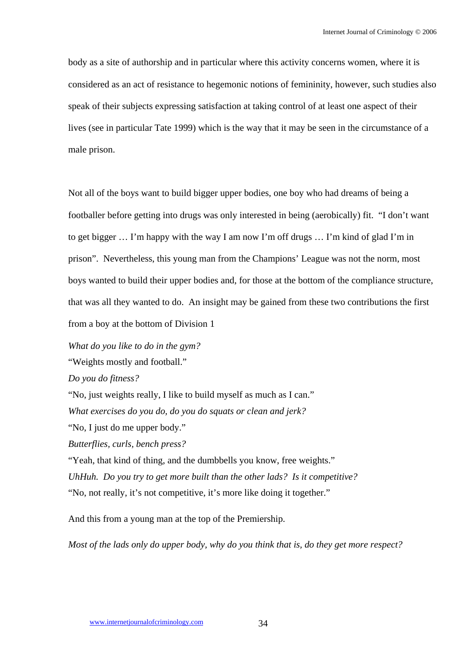body as a site of authorship and in particular where this activity concerns women, where it is considered as an act of resistance to hegemonic notions of femininity, however, such studies also speak of their subjects expressing satisfaction at taking control of at least one aspect of their lives (see in particular Tate 1999) which is the way that it may be seen in the circumstance of a male prison.

Not all of the boys want to build bigger upper bodies, one boy who had dreams of being a footballer before getting into drugs was only interested in being (aerobically) fit. "I don't want to get bigger … I'm happy with the way I am now I'm off drugs … I'm kind of glad I'm in prison". Nevertheless, this young man from the Champions' League was not the norm, most boys wanted to build their upper bodies and, for those at the bottom of the compliance structure, that was all they wanted to do. An insight may be gained from these two contributions the first from a boy at the bottom of Division 1

*What do you like to do in the gym?* 

"Weights mostly and football."

*Do you do fitness?* 

"No, just weights really, I like to build myself as much as I can."

*What exercises do you do, do you do squats or clean and jerk?* 

"No, I just do me upper body."

*Butterflies, curls, bench press?* 

"Yeah, that kind of thing, and the dumbbells you know, free weights." *UhHuh. Do you try to get more built than the other lads? Is it competitive?*  "No, not really, it's not competitive, it's more like doing it together."

And this from a young man at the top of the Premiership.

*Most of the lads only do upper body, why do you think that is, do they get more respect?*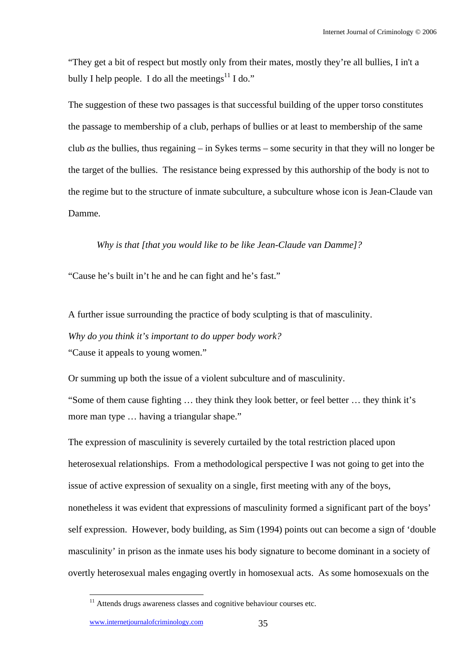"They get a bit of respect but mostly only from their mates, mostly they're all bullies, I in't a bully I help people. I do all the meetings<sup>11</sup> I do."

The suggestion of these two passages is that successful building of the upper torso constitutes the passage to membership of a club, perhaps of bullies or at least to membership of the same club *as* the bullies, thus regaining – in Sykes terms – some security in that they will no longer be the target of the bullies. The resistance being expressed by this authorship of the body is not to the regime but to the structure of inmate subculture, a subculture whose icon is Jean-Claude van Damme.

## *Why is that [that you would like to be like Jean-Claude van Damme]?*

"Cause he's built in't he and he can fight and he's fast."

A further issue surrounding the practice of body sculpting is that of masculinity.

*Why do you think it's important to do upper body work?*  "Cause it appeals to young women."

Or summing up both the issue of a violent subculture and of masculinity.

"Some of them cause fighting … they think they look better, or feel better … they think it's more man type … having a triangular shape."

The expression of masculinity is severely curtailed by the total restriction placed upon heterosexual relationships. From a methodological perspective I was not going to get into the issue of active expression of sexuality on a single, first meeting with any of the boys, nonetheless it was evident that expressions of masculinity formed a significant part of the boys' self expression. However, body building, as Sim (1994) points out can become a sign of 'double masculinity' in prison as the inmate uses his body signature to become dominant in a society of overtly heterosexual males engaging overtly in homosexual acts. As some homosexuals on the

 $11$  Attends drugs awareness classes and cognitive behaviour courses etc.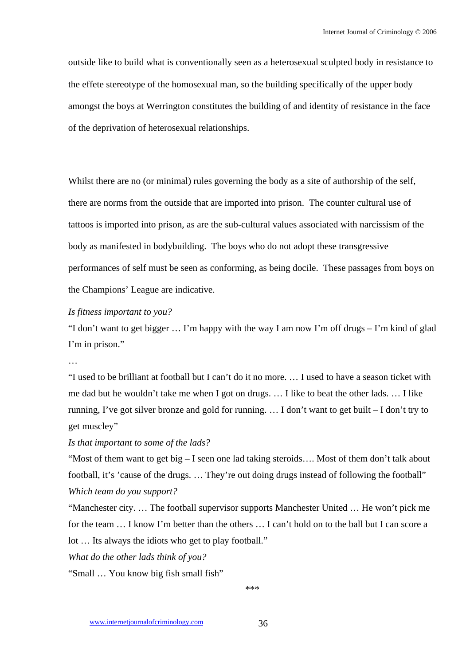outside like to build what is conventionally seen as a heterosexual sculpted body in resistance to the effete stereotype of the homosexual man, so the building specifically of the upper body amongst the boys at Werrington constitutes the building of and identity of resistance in the face of the deprivation of heterosexual relationships.

Whilst there are no (or minimal) rules governing the body as a site of authorship of the self, there are norms from the outside that are imported into prison. The counter cultural use of tattoos is imported into prison, as are the sub-cultural values associated with narcissism of the body as manifested in bodybuilding. The boys who do not adopt these transgressive performances of self must be seen as conforming, as being docile. These passages from boys on the Champions' League are indicative.

# *Is fitness important to you?*

"I don't want to get bigger … I'm happy with the way I am now I'm off drugs – I'm kind of glad I'm in prison."

…

"I used to be brilliant at football but I can't do it no more. … I used to have a season ticket with me dad but he wouldn't take me when I got on drugs. … I like to beat the other lads. … I like running, I've got silver bronze and gold for running. … I don't want to get built – I don't try to get muscley"

*Is that important to some of the lads?* 

"Most of them want to get big – I seen one lad taking steroids…. Most of them don't talk about football, it's 'cause of the drugs. … They're out doing drugs instead of following the football" *Which team do you support?* 

"Manchester city. … The football supervisor supports Manchester United … He won't pick me for the team … I know I'm better than the others … I can't hold on to the ball but I can score a lot … Its always the idiots who get to play football."

*What do the other lads think of you?* 

"Small … You know big fish small fish"

\*\*\*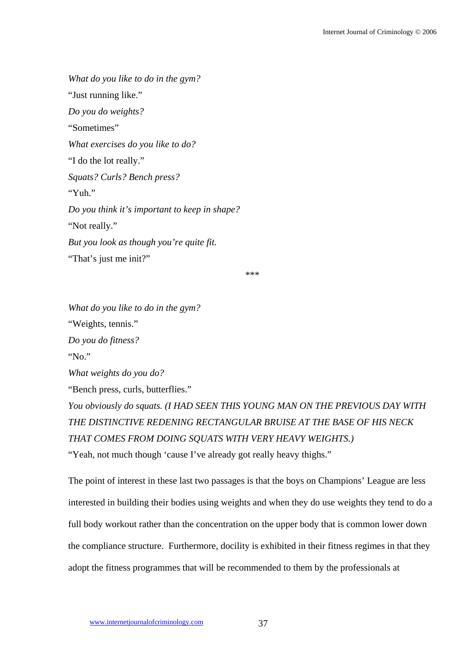*What do you like to do in the gym?*  "Just running like." *Do you do weights?*  "Sometimes" *What exercises do you like to do?*  "I do the lot really." *Squats? Curls? Bench press?*  "Yuh." *Do you think it's important to keep in shape?*  "Not really." *But you look as though you're quite fit.*  "That's just me init?"

\*\*\*

*What do you like to do in the gym?*  "Weights, tennis." *Do you do fitness?*  "No." *What weights do you do?*  "Bench press, curls, butterflies." *You obviously do squats. (I HAD SEEN THIS YOUNG MAN ON THE PREVIOUS DAY WITH THE DISTINCTIVE REDENING RECTANGULAR BRUISE AT THE BASE OF HIS NECK* 

*THAT COMES FROM DOING SQUATS WITH VERY HEAVY WEIGHTS.)* 

"Yeah, not much though 'cause I've already got really heavy thighs."

The point of interest in these last two passages is that the boys on Champions' League are less interested in building their bodies using weights and when they do use weights they tend to do a full body workout rather than the concentration on the upper body that is common lower down the compliance structure. Furthermore, docility is exhibited in their fitness regimes in that they adopt the fitness programmes that will be recommended to them by the professionals at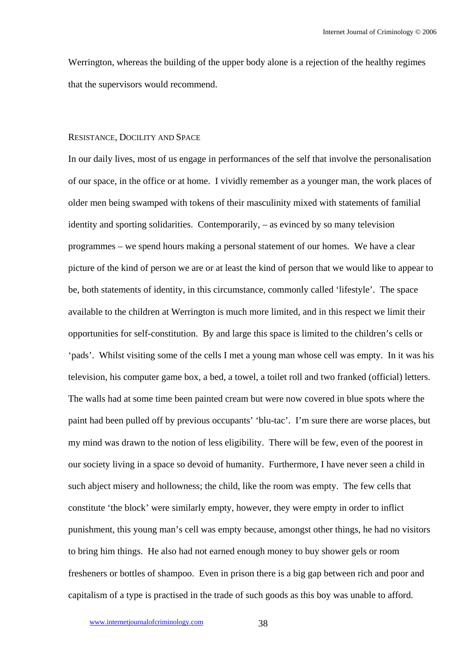Werrington, whereas the building of the upper body alone is a rejection of the healthy regimes that the supervisors would recommend.

## RESISTANCE, DOCILITY AND SPACE

In our daily lives, most of us engage in performances of the self that involve the personalisation of our space, in the office or at home. I vividly remember as a younger man, the work places of older men being swamped with tokens of their masculinity mixed with statements of familial identity and sporting solidarities. Contemporarily, – as evinced by so many television programmes – we spend hours making a personal statement of our homes. We have a clear picture of the kind of person we are or at least the kind of person that we would like to appear to be, both statements of identity, in this circumstance, commonly called 'lifestyle'. The space available to the children at Werrington is much more limited, and in this respect we limit their opportunities for self-constitution. By and large this space is limited to the children's cells or 'pads'. Whilst visiting some of the cells I met a young man whose cell was empty. In it was his television, his computer game box, a bed, a towel, a toilet roll and two franked (official) letters. The walls had at some time been painted cream but were now covered in blue spots where the paint had been pulled off by previous occupants' 'blu-tac'. I'm sure there are worse places, but my mind was drawn to the notion of less eligibility. There will be few, even of the poorest in our society living in a space so devoid of humanity. Furthermore, I have never seen a child in such abject misery and hollowness; the child, like the room was empty. The few cells that constitute 'the block' were similarly empty, however, they were empty in order to inflict punishment, this young man's cell was empty because, amongst other things, he had no visitors to bring him things. He also had not earned enough money to buy shower gels or room fresheners or bottles of shampoo. Even in prison there is a big gap between rich and poor and capitalism of a type is practised in the trade of such goods as this boy was unable to afford.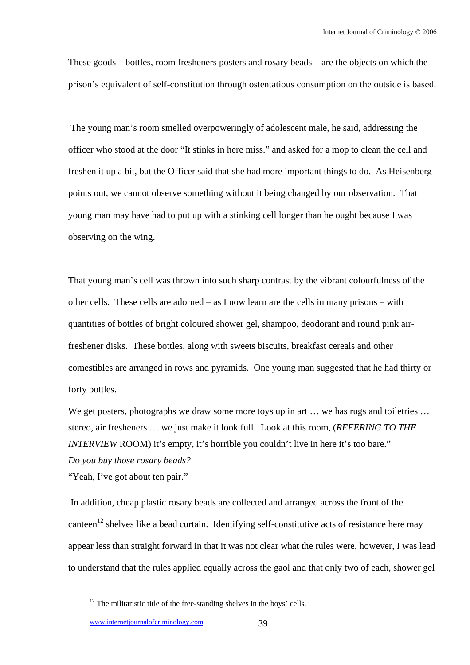These goods – bottles, room fresheners posters and rosary beads – are the objects on which the prison's equivalent of self-constitution through ostentatious consumption on the outside is based.

 The young man's room smelled overpoweringly of adolescent male, he said, addressing the officer who stood at the door "It stinks in here miss." and asked for a mop to clean the cell and freshen it up a bit, but the Officer said that she had more important things to do. As Heisenberg points out, we cannot observe something without it being changed by our observation. That young man may have had to put up with a stinking cell longer than he ought because I was observing on the wing.

That young man's cell was thrown into such sharp contrast by the vibrant colourfulness of the other cells. These cells are adorned – as I now learn are the cells in many prisons – with quantities of bottles of bright coloured shower gel, shampoo, deodorant and round pink airfreshener disks. These bottles, along with sweets biscuits, breakfast cereals and other comestibles are arranged in rows and pyramids. One young man suggested that he had thirty or forty bottles.

We get posters, photographs we draw some more toys up in art ... we has rugs and toiletries ... stereo, air fresheners … we just make it look full. Look at this room, (*REFERING TO THE INTERVIEW* ROOM) it's empty, it's horrible you couldn't live in here it's too bare." *Do you buy those rosary beads?* 

"Yeah, I've got about ten pair."

 In addition, cheap plastic rosary beads are collected and arranged across the front of the canteen<sup>12</sup> shelves like a bead curtain. Identifying self-constitutive acts of resistance here may appear less than straight forward in that it was not clear what the rules were, however, I was lead to understand that the rules applied equally across the gaol and that only two of each, shower gel

 $12$  The militaristic title of the free-standing shelves in the boys' cells.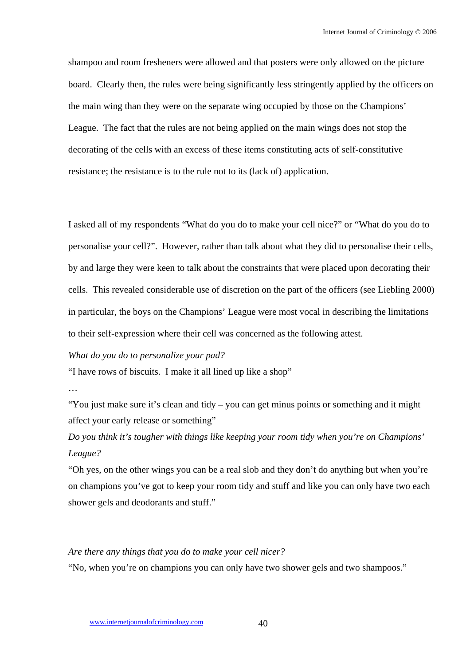shampoo and room fresheners were allowed and that posters were only allowed on the picture board. Clearly then, the rules were being significantly less stringently applied by the officers on the main wing than they were on the separate wing occupied by those on the Champions' League. The fact that the rules are not being applied on the main wings does not stop the decorating of the cells with an excess of these items constituting acts of self-constitutive resistance; the resistance is to the rule not to its (lack of) application.

I asked all of my respondents "What do you do to make your cell nice?" or "What do you do to personalise your cell?". However, rather than talk about what they did to personalise their cells, by and large they were keen to talk about the constraints that were placed upon decorating their cells. This revealed considerable use of discretion on the part of the officers (see Liebling 2000) in particular, the boys on the Champions' League were most vocal in describing the limitations to their self-expression where their cell was concerned as the following attest.

## *What do you do to personalize your pad?*

"I have rows of biscuits. I make it all lined up like a shop"

…

"You just make sure it's clean and tidy – you can get minus points or something and it might affect your early release or something"

*Do you think it's tougher with things like keeping your room tidy when you're on Champions' League?* 

"Oh yes, on the other wings you can be a real slob and they don't do anything but when you're on champions you've got to keep your room tidy and stuff and like you can only have two each shower gels and deodorants and stuff."

## *Are there any things that you do to make your cell nicer?*

"No, when you're on champions you can only have two shower gels and two shampoos."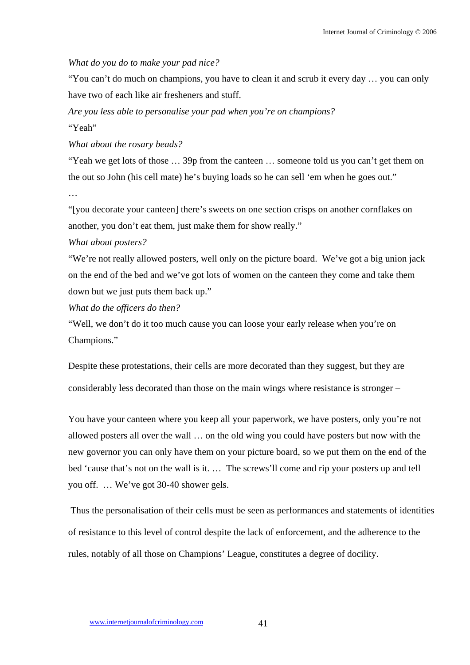# *What do you do to make your pad nice?*

"You can't do much on champions, you have to clean it and scrub it every day … you can only have two of each like air fresheners and stuff.

*Are you less able to personalise your pad when you're on champions?*  "Yeah"

*What about the rosary beads?* 

"Yeah we get lots of those … 39p from the canteen … someone told us you can't get them on the out so John (his cell mate) he's buying loads so he can sell 'em when he goes out."

…

"[you decorate your canteen] there's sweets on one section crisps on another cornflakes on another, you don't eat them, just make them for show really."

# *What about posters?*

"We're not really allowed posters, well only on the picture board. We've got a big union jack on the end of the bed and we've got lots of women on the canteen they come and take them down but we just puts them back up."

*What do the officers do then?* 

"Well, we don't do it too much cause you can loose your early release when you're on Champions."

Despite these protestations, their cells are more decorated than they suggest, but they are considerably less decorated than those on the main wings where resistance is stronger –

You have your canteen where you keep all your paperwork, we have posters, only you're not allowed posters all over the wall … on the old wing you could have posters but now with the new governor you can only have them on your picture board, so we put them on the end of the bed 'cause that's not on the wall is it. … The screws'll come and rip your posters up and tell you off. … We've got 30-40 shower gels.

 Thus the personalisation of their cells must be seen as performances and statements of identities of resistance to this level of control despite the lack of enforcement, and the adherence to the rules, notably of all those on Champions' League, constitutes a degree of docility.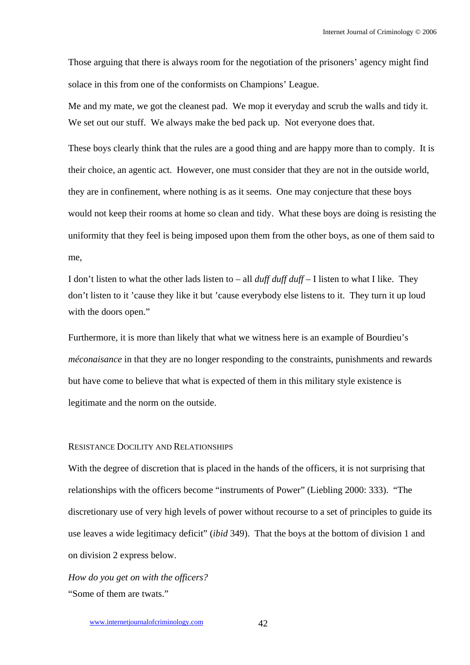Those arguing that there is always room for the negotiation of the prisoners' agency might find solace in this from one of the conformists on Champions' League.

Me and my mate, we got the cleanest pad. We mop it everyday and scrub the walls and tidy it. We set out our stuff. We always make the bed pack up. Not everyone does that.

These boys clearly think that the rules are a good thing and are happy more than to comply. It is their choice, an agentic act. However, one must consider that they are not in the outside world, they are in confinement, where nothing is as it seems. One may conjecture that these boys would not keep their rooms at home so clean and tidy. What these boys are doing is resisting the uniformity that they feel is being imposed upon them from the other boys, as one of them said to me,

I don't listen to what the other lads listen to – all *duff duff duff* – I listen to what I like. They don't listen to it 'cause they like it but 'cause everybody else listens to it. They turn it up loud with the doors open."

Furthermore, it is more than likely that what we witness here is an example of Bourdieu's *méconaisance* in that they are no longer responding to the constraints, punishments and rewards but have come to believe that what is expected of them in this military style existence is legitimate and the norm on the outside.

# RESISTANCE DOCILITY AND RELATIONSHIPS

With the degree of discretion that is placed in the hands of the officers, it is not surprising that relationships with the officers become "instruments of Power" (Liebling 2000: 333). "The discretionary use of very high levels of power without recourse to a set of principles to guide its use leaves a wide legitimacy deficit" (*ibid* 349). That the boys at the bottom of division 1 and on division 2 express below.

*How do you get on with the officers?*  "Some of them are twats."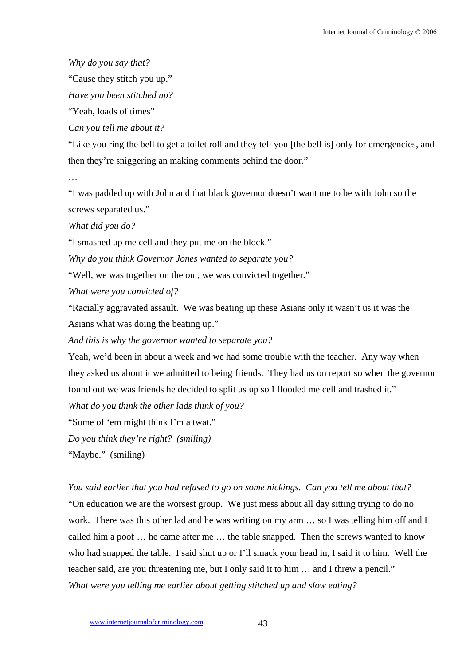*Why do you say that?* 

"Cause they stitch you up."

*Have you been stitched up?* 

"Yeah, loads of times"

*Can you tell me about it?* 

"Like you ring the bell to get a toilet roll and they tell you [the bell is] only for emergencies, and then they're sniggering an making comments behind the door."

…

"I was padded up with John and that black governor doesn't want me to be with John so the screws separated us."

*What did you do?* 

"I smashed up me cell and they put me on the block."

*Why do you think Governor Jones wanted to separate you?* 

"Well, we was together on the out, we was convicted together."

*What were you convicted of?* 

"Racially aggravated assault. We was beating up these Asians only it wasn't us it was the Asians what was doing the beating up."

*And this is why the governor wanted to separate you?* 

Yeah, we'd been in about a week and we had some trouble with the teacher. Any way when they asked us about it we admitted to being friends. They had us on report so when the governor found out we was friends he decided to split us up so I flooded me cell and trashed it."

*What do you think the other lads think of you?* 

"Some of 'em might think I'm a twat."

*Do you think they're right? (smiling)* 

"Maybe." (smiling)

*You said earlier that you had refused to go on some nickings. Can you tell me about that?*  "On education we are the worsest group. We just mess about all day sitting trying to do no work. There was this other lad and he was writing on my arm … so I was telling him off and I called him a poof … he came after me … the table snapped. Then the screws wanted to know who had snapped the table. I said shut up or I'll smack your head in, I said it to him. Well the teacher said, are you threatening me, but I only said it to him … and I threw a pencil." *What were you telling me earlier about getting stitched up and slow eating?*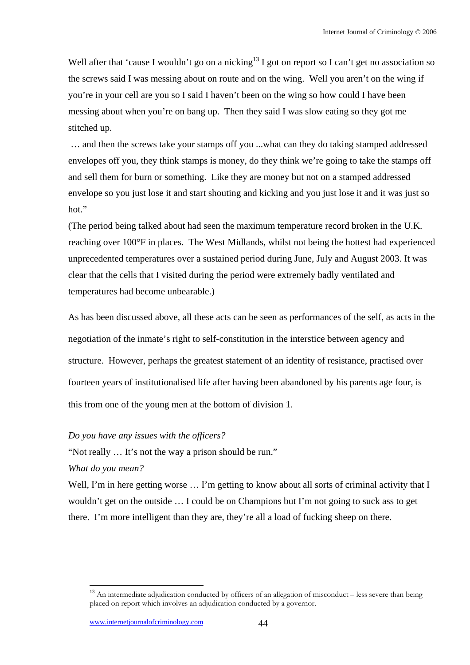Well after that 'cause I wouldn't go on a nicking<sup>13</sup> I got on report so I can't get no association so the screws said I was messing about on route and on the wing. Well you aren't on the wing if you're in your cell are you so I said I haven't been on the wing so how could I have been messing about when you're on bang up. Then they said I was slow eating so they got me stitched up.

 … and then the screws take your stamps off you ...what can they do taking stamped addressed envelopes off you, they think stamps is money, do they think we're going to take the stamps off and sell them for burn or something. Like they are money but not on a stamped addressed envelope so you just lose it and start shouting and kicking and you just lose it and it was just so hot."

(The period being talked about had seen the maximum temperature record broken in the U.K. reaching over 100°F in places. The West Midlands, whilst not being the hottest had experienced unprecedented temperatures over a sustained period during June, July and August 2003. It was clear that the cells that I visited during the period were extremely badly ventilated and temperatures had become unbearable.)

As has been discussed above, all these acts can be seen as performances of the self, as acts in the negotiation of the inmate's right to self-constitution in the interstice between agency and structure. However, perhaps the greatest statement of an identity of resistance, practised over fourteen years of institutionalised life after having been abandoned by his parents age four, is this from one of the young men at the bottom of division 1.

# *Do you have any issues with the officers?*

"Not really … It's not the way a prison should be run."

*What do you mean?* 

 $\overline{a}$ 

Well, I'm in here getting worse ... I'm getting to know about all sorts of criminal activity that I wouldn't get on the outside … I could be on Champions but I'm not going to suck ass to get there. I'm more intelligent than they are, they're all a load of fucking sheep on there.

<sup>&</sup>lt;sup>13</sup> An intermediate adjudication conducted by officers of an allegation of misconduct – less severe than being placed on report which involves an adjudication conducted by a governor.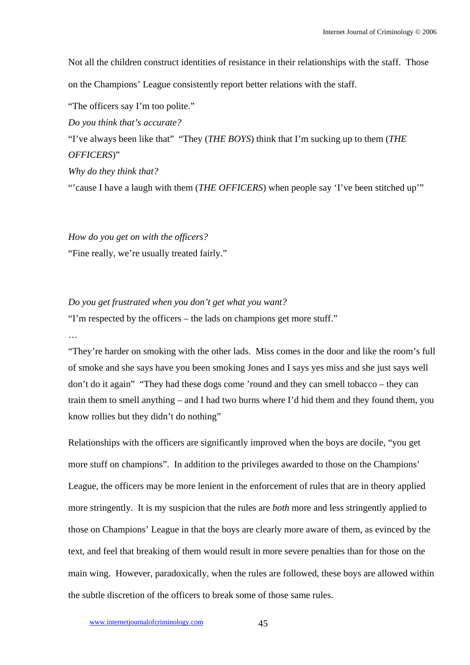Not all the children construct identities of resistance in their relationships with the staff. Those on the Champions' League consistently report better relations with the staff.

"The officers say I'm too polite."

*Do you think that's accurate?* 

"I've always been like that" "They (*THE BOYS*) think that I'm sucking up to them (*THE OFFICERS*)"

*Why do they think that?* 

"'cause I have a laugh with them (*THE OFFICERS*) when people say 'I've been stitched up'"

*How do you get on with the officers?*  "Fine really, we're usually treated fairly."

*Do you get frustrated when you don't get what you want?* 

"I'm respected by the officers – the lads on champions get more stuff."

…

"They're harder on smoking with the other lads. Miss comes in the door and like the room's full of smoke and she says have you been smoking Jones and I says yes miss and she just says well don't do it again" "They had these dogs come 'round and they can smell tobacco – they can train them to smell anything – and I had two burns where I'd hid them and they found them, you know rollies but they didn't do nothing"

Relationships with the officers are significantly improved when the boys are docile, "you get more stuff on champions". In addition to the privileges awarded to those on the Champions' League, the officers may be more lenient in the enforcement of rules that are in theory applied more stringently. It is my suspicion that the rules are *both* more and less stringently applied to those on Champions' League in that the boys are clearly more aware of them, as evinced by the text, and feel that breaking of them would result in more severe penalties than for those on the main wing. However, paradoxically, when the rules are followed, these boys are allowed within the subtle discretion of the officers to break some of those same rules.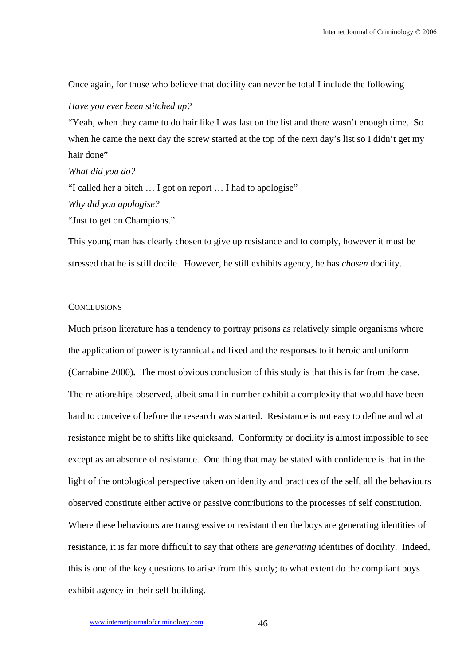Once again, for those who believe that docility can never be total I include the following

#### *Have you ever been stitched up?*

"Yeah, when they came to do hair like I was last on the list and there wasn't enough time. So when he came the next day the screw started at the top of the next day's list so I didn't get my hair done"

## *What did you do?*

"I called her a bitch … I got on report … I had to apologise" *Why did you apologise?* 

"Just to get on Champions."

This young man has clearly chosen to give up resistance and to comply, however it must be stressed that he is still docile. However, he still exhibits agency, he has *chosen* docility.

# **CONCLUSIONS**

Much prison literature has a tendency to portray prisons as relatively simple organisms where the application of power is tyrannical and fixed and the responses to it heroic and uniform (Carrabine 2000)**.** The most obvious conclusion of this study is that this is far from the case. The relationships observed, albeit small in number exhibit a complexity that would have been hard to conceive of before the research was started. Resistance is not easy to define and what resistance might be to shifts like quicksand. Conformity or docility is almost impossible to see except as an absence of resistance. One thing that may be stated with confidence is that in the light of the ontological perspective taken on identity and practices of the self, all the behaviours observed constitute either active or passive contributions to the processes of self constitution. Where these behaviours are transgressive or resistant then the boys are generating identities of resistance, it is far more difficult to say that others are *generating* identities of docility. Indeed, this is one of the key questions to arise from this study; to what extent do the compliant boys exhibit agency in their self building.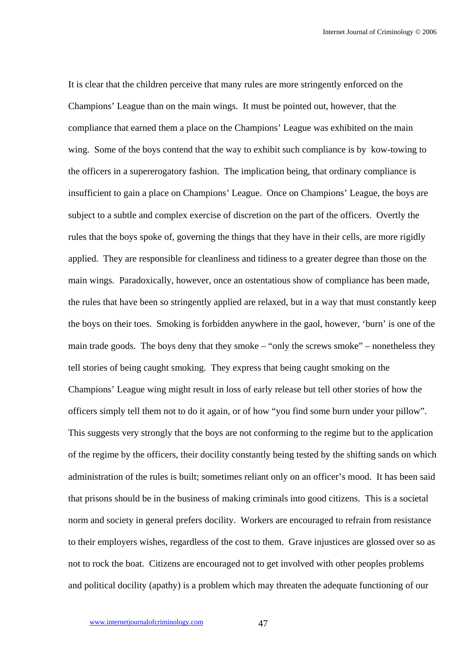It is clear that the children perceive that many rules are more stringently enforced on the Champions' League than on the main wings. It must be pointed out, however, that the compliance that earned them a place on the Champions' League was exhibited on the main wing. Some of the boys contend that the way to exhibit such compliance is by kow-towing to the officers in a supererogatory fashion. The implication being, that ordinary compliance is insufficient to gain a place on Champions' League. Once on Champions' League, the boys are subject to a subtle and complex exercise of discretion on the part of the officers. Overtly the rules that the boys spoke of, governing the things that they have in their cells, are more rigidly applied. They are responsible for cleanliness and tidiness to a greater degree than those on the main wings. Paradoxically, however, once an ostentatious show of compliance has been made, the rules that have been so stringently applied are relaxed, but in a way that must constantly keep the boys on their toes. Smoking is forbidden anywhere in the gaol, however, 'burn' is one of the main trade goods. The boys deny that they smoke – "only the screws smoke" – nonetheless they tell stories of being caught smoking. They express that being caught smoking on the Champions' League wing might result in loss of early release but tell other stories of how the officers simply tell them not to do it again, or of how "you find some burn under your pillow". This suggests very strongly that the boys are not conforming to the regime but to the application of the regime by the officers, their docility constantly being tested by the shifting sands on which administration of the rules is built; sometimes reliant only on an officer's mood. It has been said that prisons should be in the business of making criminals into good citizens. This is a societal norm and society in general prefers docility. Workers are encouraged to refrain from resistance to their employers wishes, regardless of the cost to them. Grave injustices are glossed over so as not to rock the boat. Citizens are encouraged not to get involved with other peoples problems and political docility (apathy) is a problem which may threaten the adequate functioning of our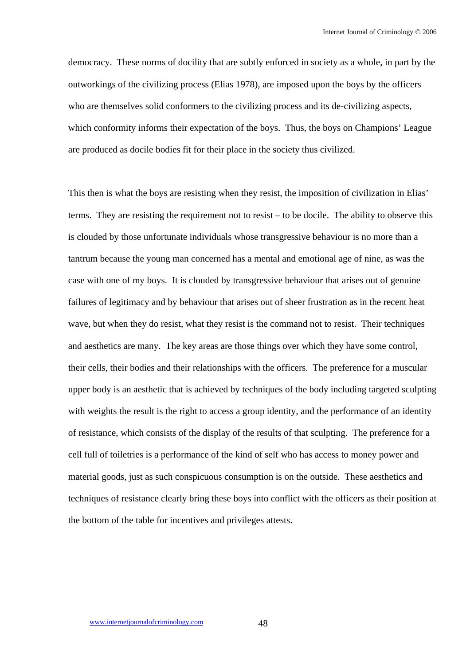democracy. These norms of docility that are subtly enforced in society as a whole, in part by the outworkings of the civilizing process (Elias 1978), are imposed upon the boys by the officers who are themselves solid conformers to the civilizing process and its de-civilizing aspects, which conformity informs their expectation of the boys. Thus, the boys on Champions' League are produced as docile bodies fit for their place in the society thus civilized.

This then is what the boys are resisting when they resist, the imposition of civilization in Elias' terms. They are resisting the requirement not to resist – to be docile. The ability to observe this is clouded by those unfortunate individuals whose transgressive behaviour is no more than a tantrum because the young man concerned has a mental and emotional age of nine, as was the case with one of my boys. It is clouded by transgressive behaviour that arises out of genuine failures of legitimacy and by behaviour that arises out of sheer frustration as in the recent heat wave, but when they do resist, what they resist is the command not to resist. Their techniques and aesthetics are many. The key areas are those things over which they have some control, their cells, their bodies and their relationships with the officers. The preference for a muscular upper body is an aesthetic that is achieved by techniques of the body including targeted sculpting with weights the result is the right to access a group identity, and the performance of an identity of resistance, which consists of the display of the results of that sculpting. The preference for a cell full of toiletries is a performance of the kind of self who has access to money power and material goods, just as such conspicuous consumption is on the outside. These aesthetics and techniques of resistance clearly bring these boys into conflict with the officers as their position at the bottom of the table for incentives and privileges attests.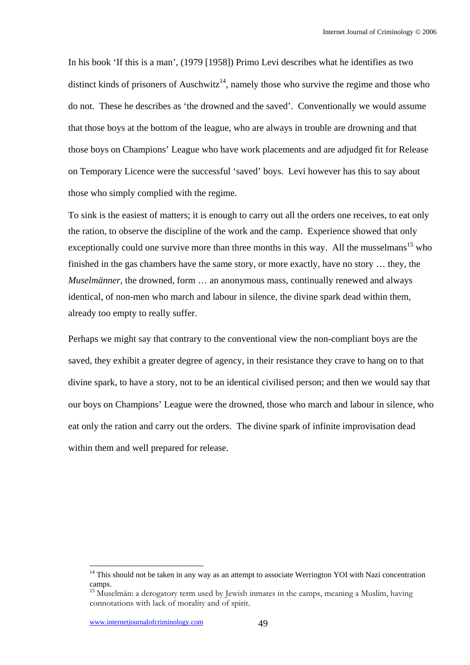In his book 'If this is a man', (1979 [1958]) Primo Levi describes what he identifies as two distinct kinds of prisoners of Auschwitz<sup>14</sup>, namely those who survive the regime and those who do not. These he describes as 'the drowned and the saved'. Conventionally we would assume that those boys at the bottom of the league, who are always in trouble are drowning and that those boys on Champions' League who have work placements and are adjudged fit for Release on Temporary Licence were the successful 'saved' boys. Levi however has this to say about those who simply complied with the regime.

To sink is the easiest of matters; it is enough to carry out all the orders one receives, to eat only the ration, to observe the discipline of the work and the camp. Experience showed that only exceptionally could one survive more than three months in this way. All the musselmans<sup>15</sup> who finished in the gas chambers have the same story, or more exactly, have no story … they, the *Muselmänner*, the drowned, form … an anonymous mass, continually renewed and always identical, of non-men who march and labour in silence, the divine spark dead within them, already too empty to really suffer.

Perhaps we might say that contrary to the conventional view the non-compliant boys are the saved, they exhibit a greater degree of agency, in their resistance they crave to hang on to that divine spark, to have a story, not to be an identical civilised person; and then we would say that our boys on Champions' League were the drowned, those who march and labour in silence, who eat only the ration and carry out the orders. The divine spark of infinite improvisation dead within them and well prepared for release.

 $14$  This should not be taken in any way as an attempt to associate Werrington YOI with Nazi concentration camps.

<sup>&</sup>lt;sup>15</sup> Muselmän: a derogatory term used by Jewish inmates in the camps, meaning a Muslim, having connotations with lack of morality and of spirit.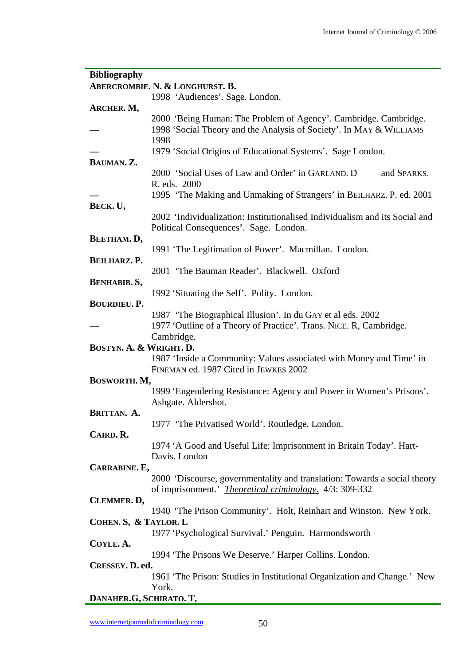| <b>Bibliography</b>     |                                                                             |
|-------------------------|-----------------------------------------------------------------------------|
|                         | ABERCROMBIE. N. & LONGHURST. B.                                             |
|                         | 1998 'Audiences'. Sage. London.                                             |
| ARCHER. M,              |                                                                             |
|                         | 2000 'Being Human: The Problem of Agency'. Cambridge. Cambridge.            |
|                         | 1998 'Social Theory and the Analysis of Society'. In MAY & WILLIAMS         |
|                         | 1998                                                                        |
|                         | 1979 'Social Origins of Educational Systems'. Sage London.                  |
| BAUMAN. Z.              |                                                                             |
|                         | 2000 'Social Uses of Law and Order' in GARLAND. D<br>and SPARKS.            |
|                         | R. eds. 2000                                                                |
|                         | 1995 'The Making and Unmaking of Strangers' in BEILHARZ. P. ed. 2001        |
| BECK. U,                |                                                                             |
|                         | 2002 'Individualization: Institutionalised Individualism and its Social and |
|                         | Political Consequences'. Sage. London.                                      |
| BEETHAM. D,             |                                                                             |
|                         | 1991 'The Legitimation of Power'. Macmillan. London.                        |
| BEILHARZ. P.            |                                                                             |
|                         | 2001 'The Bauman Reader'. Blackwell. Oxford                                 |
| <b>BENHABIB. S,</b>     |                                                                             |
|                         | 1992 'Situating the Self'. Polity. London.                                  |
| <b>BOURDIEU. P.</b>     |                                                                             |
|                         | 1987 'The Biographical Illusion'. In du GAY et al eds. 2002                 |
|                         | 1977 'Outline of a Theory of Practice'. Trans. NICE. R, Cambridge.          |
|                         | Cambridge.                                                                  |
| BOSTYN. A. & WRIGHT. D. |                                                                             |
|                         | 1987 'Inside a Community: Values associated with Money and Time' in         |
|                         | FINEMAN ed. 1987 Cited in JEWKES 2002                                       |
| BOSWORTH. M,            |                                                                             |
|                         | 1999 'Engendering Resistance: Agency and Power in Women's Prisons'.         |
|                         | Ashgate. Aldershot.                                                         |
| BRITTAN. A.             |                                                                             |
|                         | 1977 'The Privatised World'. Routledge. London.                             |
| CAIRD. R.               |                                                                             |
|                         | 1974 'A Good and Useful Life: Imprisonment in Britain Today'. Hart-         |
|                         | Davis. London                                                               |
| CARRABINE. E,           |                                                                             |
|                         | 2000 'Discourse, governmentality and translation: Towards a social theory   |
|                         | of imprisonment.' <i>Theoretical criminology</i> . 4/3: 309-332             |
| CLEMMER. D,             |                                                                             |
|                         | 1940 'The Prison Community'. Holt, Reinhart and Winston. New York.          |
| COHEN. S, & TAYLOR. L   |                                                                             |
|                         | 1977 'Psychological Survival.' Penguin. Harmondsworth                       |
| COYLE. A.               |                                                                             |
|                         | 1994 'The Prisons We Deserve.' Harper Collins. London.                      |
| CRESSEY. D. ed.         |                                                                             |
|                         | 1961 'The Prison: Studies in Institutional Organization and Change.' New    |
|                         | York.                                                                       |
| DANAHER.G, SCHIRATO. T, |                                                                             |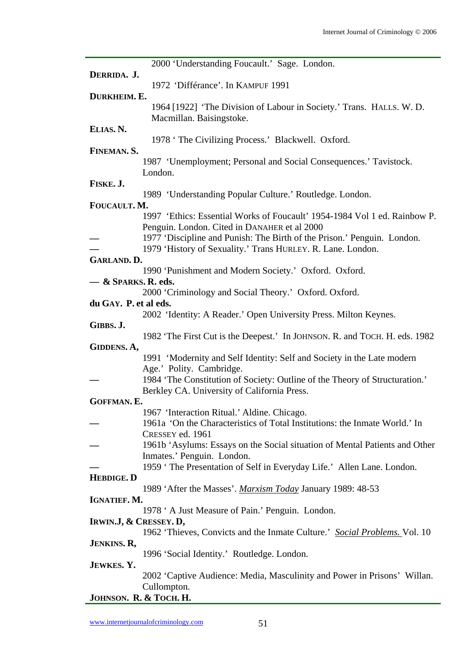| 2000 'Understanding Foucault.' Sage. London.<br>DERRIDA. J.<br>1972 'Différance'. In KAMPUF 1991<br>DURKHEIM. E.<br>1964 [1922] 'The Division of Labour in Society.' Trans. HALLS. W. D.<br>Macmillan. Baisingstoke.<br>ELIAS. N.<br>1978 'The Civilizing Process.' Blackwell. Oxford.<br>FINEMAN. S.<br>1987 'Unemployment; Personal and Social Consequences.' Tavistock.<br>London.<br>FISKE. J.<br>1989 'Understanding Popular Culture.' Routledge. London.<br>FOUCAULT. M.<br>1997 'Ethics: Essential Works of Foucault' 1954-1984 Vol 1 ed. Rainbow P.<br>Penguin. London. Cited in DANAHER et al 2000<br>1977 'Discipline and Punish: The Birth of the Prison.' Penguin. London.<br>1979 'History of Sexuality.' Trans HURLEY. R. Lane. London.<br>GARLAND. D.<br>1990 'Punishment and Modern Society.' Oxford. Oxford.<br>$-$ & Sparks. R. eds.<br>2000 'Criminology and Social Theory.' Oxford. Oxford.<br>du GAY. P. et al eds.<br>2002 'Identity: A Reader.' Open University Press. Milton Keynes.<br>GIBBS. J.<br>1982 'The First Cut is the Deepest.' In JOHNSON. R. and TOCH. H. eds. 1982<br>GIDDENS. A,<br>1991 'Modernity and Self Identity: Self and Society in the Late modern<br>Age.' Polity. Cambridge.<br>1984 'The Constitution of Society: Outline of the Theory of Structuration.'<br>Berkley CA. University of California Press.<br><b>GOFFMAN. E.</b><br>1967 'Interaction Ritual.' Aldine. Chicago.<br>1961a 'On the Characteristics of Total Institutions: the Inmate World.' In<br>CRESSEY ed. 1961<br>1961b 'Asylums: Essays on the Social situation of Mental Patients and Other<br>Inmates.' Penguin. London.<br>1959 'The Presentation of Self in Everyday Life.' Allen Lane. London.<br><b>HEBDIGE. D</b><br>1989 'After the Masses'. Marxism Today January 1989: 48-53<br>IGNATIEF. M.<br>1978 ' A Just Measure of Pain.' Penguin. London.<br>IRWIN.J, & CRESSEY. D,<br>1962 'Thieves, Convicts and the Inmate Culture.' Social Problems. Vol. 10<br><b>JENKINS. R,</b><br>1996 'Social Identity.' Routledge. London.<br>JEWKES. Y.<br>2002 'Captive Audience: Media, Masculinity and Power in Prisons' Willan.<br>Cullompton. |                        |  |
|--------------------------------------------------------------------------------------------------------------------------------------------------------------------------------------------------------------------------------------------------------------------------------------------------------------------------------------------------------------------------------------------------------------------------------------------------------------------------------------------------------------------------------------------------------------------------------------------------------------------------------------------------------------------------------------------------------------------------------------------------------------------------------------------------------------------------------------------------------------------------------------------------------------------------------------------------------------------------------------------------------------------------------------------------------------------------------------------------------------------------------------------------------------------------------------------------------------------------------------------------------------------------------------------------------------------------------------------------------------------------------------------------------------------------------------------------------------------------------------------------------------------------------------------------------------------------------------------------------------------------------------------------------------------------------------------------------------------------------------------------------------------------------------------------------------------------------------------------------------------------------------------------------------------------------------------------------------------------------------------------------------------------------------------------------------------------------------------------------------------------------------------------------------------|------------------------|--|
|                                                                                                                                                                                                                                                                                                                                                                                                                                                                                                                                                                                                                                                                                                                                                                                                                                                                                                                                                                                                                                                                                                                                                                                                                                                                                                                                                                                                                                                                                                                                                                                                                                                                                                                                                                                                                                                                                                                                                                                                                                                                                                                                                                    |                        |  |
|                                                                                                                                                                                                                                                                                                                                                                                                                                                                                                                                                                                                                                                                                                                                                                                                                                                                                                                                                                                                                                                                                                                                                                                                                                                                                                                                                                                                                                                                                                                                                                                                                                                                                                                                                                                                                                                                                                                                                                                                                                                                                                                                                                    |                        |  |
|                                                                                                                                                                                                                                                                                                                                                                                                                                                                                                                                                                                                                                                                                                                                                                                                                                                                                                                                                                                                                                                                                                                                                                                                                                                                                                                                                                                                                                                                                                                                                                                                                                                                                                                                                                                                                                                                                                                                                                                                                                                                                                                                                                    |                        |  |
|                                                                                                                                                                                                                                                                                                                                                                                                                                                                                                                                                                                                                                                                                                                                                                                                                                                                                                                                                                                                                                                                                                                                                                                                                                                                                                                                                                                                                                                                                                                                                                                                                                                                                                                                                                                                                                                                                                                                                                                                                                                                                                                                                                    |                        |  |
|                                                                                                                                                                                                                                                                                                                                                                                                                                                                                                                                                                                                                                                                                                                                                                                                                                                                                                                                                                                                                                                                                                                                                                                                                                                                                                                                                                                                                                                                                                                                                                                                                                                                                                                                                                                                                                                                                                                                                                                                                                                                                                                                                                    |                        |  |
|                                                                                                                                                                                                                                                                                                                                                                                                                                                                                                                                                                                                                                                                                                                                                                                                                                                                                                                                                                                                                                                                                                                                                                                                                                                                                                                                                                                                                                                                                                                                                                                                                                                                                                                                                                                                                                                                                                                                                                                                                                                                                                                                                                    |                        |  |
|                                                                                                                                                                                                                                                                                                                                                                                                                                                                                                                                                                                                                                                                                                                                                                                                                                                                                                                                                                                                                                                                                                                                                                                                                                                                                                                                                                                                                                                                                                                                                                                                                                                                                                                                                                                                                                                                                                                                                                                                                                                                                                                                                                    |                        |  |
|                                                                                                                                                                                                                                                                                                                                                                                                                                                                                                                                                                                                                                                                                                                                                                                                                                                                                                                                                                                                                                                                                                                                                                                                                                                                                                                                                                                                                                                                                                                                                                                                                                                                                                                                                                                                                                                                                                                                                                                                                                                                                                                                                                    |                        |  |
|                                                                                                                                                                                                                                                                                                                                                                                                                                                                                                                                                                                                                                                                                                                                                                                                                                                                                                                                                                                                                                                                                                                                                                                                                                                                                                                                                                                                                                                                                                                                                                                                                                                                                                                                                                                                                                                                                                                                                                                                                                                                                                                                                                    |                        |  |
|                                                                                                                                                                                                                                                                                                                                                                                                                                                                                                                                                                                                                                                                                                                                                                                                                                                                                                                                                                                                                                                                                                                                                                                                                                                                                                                                                                                                                                                                                                                                                                                                                                                                                                                                                                                                                                                                                                                                                                                                                                                                                                                                                                    |                        |  |
|                                                                                                                                                                                                                                                                                                                                                                                                                                                                                                                                                                                                                                                                                                                                                                                                                                                                                                                                                                                                                                                                                                                                                                                                                                                                                                                                                                                                                                                                                                                                                                                                                                                                                                                                                                                                                                                                                                                                                                                                                                                                                                                                                                    |                        |  |
|                                                                                                                                                                                                                                                                                                                                                                                                                                                                                                                                                                                                                                                                                                                                                                                                                                                                                                                                                                                                                                                                                                                                                                                                                                                                                                                                                                                                                                                                                                                                                                                                                                                                                                                                                                                                                                                                                                                                                                                                                                                                                                                                                                    |                        |  |
|                                                                                                                                                                                                                                                                                                                                                                                                                                                                                                                                                                                                                                                                                                                                                                                                                                                                                                                                                                                                                                                                                                                                                                                                                                                                                                                                                                                                                                                                                                                                                                                                                                                                                                                                                                                                                                                                                                                                                                                                                                                                                                                                                                    |                        |  |
|                                                                                                                                                                                                                                                                                                                                                                                                                                                                                                                                                                                                                                                                                                                                                                                                                                                                                                                                                                                                                                                                                                                                                                                                                                                                                                                                                                                                                                                                                                                                                                                                                                                                                                                                                                                                                                                                                                                                                                                                                                                                                                                                                                    |                        |  |
|                                                                                                                                                                                                                                                                                                                                                                                                                                                                                                                                                                                                                                                                                                                                                                                                                                                                                                                                                                                                                                                                                                                                                                                                                                                                                                                                                                                                                                                                                                                                                                                                                                                                                                                                                                                                                                                                                                                                                                                                                                                                                                                                                                    |                        |  |
|                                                                                                                                                                                                                                                                                                                                                                                                                                                                                                                                                                                                                                                                                                                                                                                                                                                                                                                                                                                                                                                                                                                                                                                                                                                                                                                                                                                                                                                                                                                                                                                                                                                                                                                                                                                                                                                                                                                                                                                                                                                                                                                                                                    |                        |  |
|                                                                                                                                                                                                                                                                                                                                                                                                                                                                                                                                                                                                                                                                                                                                                                                                                                                                                                                                                                                                                                                                                                                                                                                                                                                                                                                                                                                                                                                                                                                                                                                                                                                                                                                                                                                                                                                                                                                                                                                                                                                                                                                                                                    |                        |  |
|                                                                                                                                                                                                                                                                                                                                                                                                                                                                                                                                                                                                                                                                                                                                                                                                                                                                                                                                                                                                                                                                                                                                                                                                                                                                                                                                                                                                                                                                                                                                                                                                                                                                                                                                                                                                                                                                                                                                                                                                                                                                                                                                                                    |                        |  |
|                                                                                                                                                                                                                                                                                                                                                                                                                                                                                                                                                                                                                                                                                                                                                                                                                                                                                                                                                                                                                                                                                                                                                                                                                                                                                                                                                                                                                                                                                                                                                                                                                                                                                                                                                                                                                                                                                                                                                                                                                                                                                                                                                                    |                        |  |
|                                                                                                                                                                                                                                                                                                                                                                                                                                                                                                                                                                                                                                                                                                                                                                                                                                                                                                                                                                                                                                                                                                                                                                                                                                                                                                                                                                                                                                                                                                                                                                                                                                                                                                                                                                                                                                                                                                                                                                                                                                                                                                                                                                    |                        |  |
|                                                                                                                                                                                                                                                                                                                                                                                                                                                                                                                                                                                                                                                                                                                                                                                                                                                                                                                                                                                                                                                                                                                                                                                                                                                                                                                                                                                                                                                                                                                                                                                                                                                                                                                                                                                                                                                                                                                                                                                                                                                                                                                                                                    |                        |  |
|                                                                                                                                                                                                                                                                                                                                                                                                                                                                                                                                                                                                                                                                                                                                                                                                                                                                                                                                                                                                                                                                                                                                                                                                                                                                                                                                                                                                                                                                                                                                                                                                                                                                                                                                                                                                                                                                                                                                                                                                                                                                                                                                                                    |                        |  |
|                                                                                                                                                                                                                                                                                                                                                                                                                                                                                                                                                                                                                                                                                                                                                                                                                                                                                                                                                                                                                                                                                                                                                                                                                                                                                                                                                                                                                                                                                                                                                                                                                                                                                                                                                                                                                                                                                                                                                                                                                                                                                                                                                                    |                        |  |
|                                                                                                                                                                                                                                                                                                                                                                                                                                                                                                                                                                                                                                                                                                                                                                                                                                                                                                                                                                                                                                                                                                                                                                                                                                                                                                                                                                                                                                                                                                                                                                                                                                                                                                                                                                                                                                                                                                                                                                                                                                                                                                                                                                    |                        |  |
|                                                                                                                                                                                                                                                                                                                                                                                                                                                                                                                                                                                                                                                                                                                                                                                                                                                                                                                                                                                                                                                                                                                                                                                                                                                                                                                                                                                                                                                                                                                                                                                                                                                                                                                                                                                                                                                                                                                                                                                                                                                                                                                                                                    |                        |  |
|                                                                                                                                                                                                                                                                                                                                                                                                                                                                                                                                                                                                                                                                                                                                                                                                                                                                                                                                                                                                                                                                                                                                                                                                                                                                                                                                                                                                                                                                                                                                                                                                                                                                                                                                                                                                                                                                                                                                                                                                                                                                                                                                                                    |                        |  |
|                                                                                                                                                                                                                                                                                                                                                                                                                                                                                                                                                                                                                                                                                                                                                                                                                                                                                                                                                                                                                                                                                                                                                                                                                                                                                                                                                                                                                                                                                                                                                                                                                                                                                                                                                                                                                                                                                                                                                                                                                                                                                                                                                                    |                        |  |
|                                                                                                                                                                                                                                                                                                                                                                                                                                                                                                                                                                                                                                                                                                                                                                                                                                                                                                                                                                                                                                                                                                                                                                                                                                                                                                                                                                                                                                                                                                                                                                                                                                                                                                                                                                                                                                                                                                                                                                                                                                                                                                                                                                    |                        |  |
|                                                                                                                                                                                                                                                                                                                                                                                                                                                                                                                                                                                                                                                                                                                                                                                                                                                                                                                                                                                                                                                                                                                                                                                                                                                                                                                                                                                                                                                                                                                                                                                                                                                                                                                                                                                                                                                                                                                                                                                                                                                                                                                                                                    |                        |  |
|                                                                                                                                                                                                                                                                                                                                                                                                                                                                                                                                                                                                                                                                                                                                                                                                                                                                                                                                                                                                                                                                                                                                                                                                                                                                                                                                                                                                                                                                                                                                                                                                                                                                                                                                                                                                                                                                                                                                                                                                                                                                                                                                                                    |                        |  |
|                                                                                                                                                                                                                                                                                                                                                                                                                                                                                                                                                                                                                                                                                                                                                                                                                                                                                                                                                                                                                                                                                                                                                                                                                                                                                                                                                                                                                                                                                                                                                                                                                                                                                                                                                                                                                                                                                                                                                                                                                                                                                                                                                                    |                        |  |
|                                                                                                                                                                                                                                                                                                                                                                                                                                                                                                                                                                                                                                                                                                                                                                                                                                                                                                                                                                                                                                                                                                                                                                                                                                                                                                                                                                                                                                                                                                                                                                                                                                                                                                                                                                                                                                                                                                                                                                                                                                                                                                                                                                    |                        |  |
|                                                                                                                                                                                                                                                                                                                                                                                                                                                                                                                                                                                                                                                                                                                                                                                                                                                                                                                                                                                                                                                                                                                                                                                                                                                                                                                                                                                                                                                                                                                                                                                                                                                                                                                                                                                                                                                                                                                                                                                                                                                                                                                                                                    |                        |  |
|                                                                                                                                                                                                                                                                                                                                                                                                                                                                                                                                                                                                                                                                                                                                                                                                                                                                                                                                                                                                                                                                                                                                                                                                                                                                                                                                                                                                                                                                                                                                                                                                                                                                                                                                                                                                                                                                                                                                                                                                                                                                                                                                                                    |                        |  |
|                                                                                                                                                                                                                                                                                                                                                                                                                                                                                                                                                                                                                                                                                                                                                                                                                                                                                                                                                                                                                                                                                                                                                                                                                                                                                                                                                                                                                                                                                                                                                                                                                                                                                                                                                                                                                                                                                                                                                                                                                                                                                                                                                                    |                        |  |
|                                                                                                                                                                                                                                                                                                                                                                                                                                                                                                                                                                                                                                                                                                                                                                                                                                                                                                                                                                                                                                                                                                                                                                                                                                                                                                                                                                                                                                                                                                                                                                                                                                                                                                                                                                                                                                                                                                                                                                                                                                                                                                                                                                    |                        |  |
|                                                                                                                                                                                                                                                                                                                                                                                                                                                                                                                                                                                                                                                                                                                                                                                                                                                                                                                                                                                                                                                                                                                                                                                                                                                                                                                                                                                                                                                                                                                                                                                                                                                                                                                                                                                                                                                                                                                                                                                                                                                                                                                                                                    |                        |  |
|                                                                                                                                                                                                                                                                                                                                                                                                                                                                                                                                                                                                                                                                                                                                                                                                                                                                                                                                                                                                                                                                                                                                                                                                                                                                                                                                                                                                                                                                                                                                                                                                                                                                                                                                                                                                                                                                                                                                                                                                                                                                                                                                                                    |                        |  |
|                                                                                                                                                                                                                                                                                                                                                                                                                                                                                                                                                                                                                                                                                                                                                                                                                                                                                                                                                                                                                                                                                                                                                                                                                                                                                                                                                                                                                                                                                                                                                                                                                                                                                                                                                                                                                                                                                                                                                                                                                                                                                                                                                                    |                        |  |
|                                                                                                                                                                                                                                                                                                                                                                                                                                                                                                                                                                                                                                                                                                                                                                                                                                                                                                                                                                                                                                                                                                                                                                                                                                                                                                                                                                                                                                                                                                                                                                                                                                                                                                                                                                                                                                                                                                                                                                                                                                                                                                                                                                    |                        |  |
|                                                                                                                                                                                                                                                                                                                                                                                                                                                                                                                                                                                                                                                                                                                                                                                                                                                                                                                                                                                                                                                                                                                                                                                                                                                                                                                                                                                                                                                                                                                                                                                                                                                                                                                                                                                                                                                                                                                                                                                                                                                                                                                                                                    |                        |  |
|                                                                                                                                                                                                                                                                                                                                                                                                                                                                                                                                                                                                                                                                                                                                                                                                                                                                                                                                                                                                                                                                                                                                                                                                                                                                                                                                                                                                                                                                                                                                                                                                                                                                                                                                                                                                                                                                                                                                                                                                                                                                                                                                                                    |                        |  |
|                                                                                                                                                                                                                                                                                                                                                                                                                                                                                                                                                                                                                                                                                                                                                                                                                                                                                                                                                                                                                                                                                                                                                                                                                                                                                                                                                                                                                                                                                                                                                                                                                                                                                                                                                                                                                                                                                                                                                                                                                                                                                                                                                                    |                        |  |
|                                                                                                                                                                                                                                                                                                                                                                                                                                                                                                                                                                                                                                                                                                                                                                                                                                                                                                                                                                                                                                                                                                                                                                                                                                                                                                                                                                                                                                                                                                                                                                                                                                                                                                                                                                                                                                                                                                                                                                                                                                                                                                                                                                    |                        |  |
|                                                                                                                                                                                                                                                                                                                                                                                                                                                                                                                                                                                                                                                                                                                                                                                                                                                                                                                                                                                                                                                                                                                                                                                                                                                                                                                                                                                                                                                                                                                                                                                                                                                                                                                                                                                                                                                                                                                                                                                                                                                                                                                                                                    |                        |  |
|                                                                                                                                                                                                                                                                                                                                                                                                                                                                                                                                                                                                                                                                                                                                                                                                                                                                                                                                                                                                                                                                                                                                                                                                                                                                                                                                                                                                                                                                                                                                                                                                                                                                                                                                                                                                                                                                                                                                                                                                                                                                                                                                                                    |                        |  |
|                                                                                                                                                                                                                                                                                                                                                                                                                                                                                                                                                                                                                                                                                                                                                                                                                                                                                                                                                                                                                                                                                                                                                                                                                                                                                                                                                                                                                                                                                                                                                                                                                                                                                                                                                                                                                                                                                                                                                                                                                                                                                                                                                                    |                        |  |
|                                                                                                                                                                                                                                                                                                                                                                                                                                                                                                                                                                                                                                                                                                                                                                                                                                                                                                                                                                                                                                                                                                                                                                                                                                                                                                                                                                                                                                                                                                                                                                                                                                                                                                                                                                                                                                                                                                                                                                                                                                                                                                                                                                    |                        |  |
|                                                                                                                                                                                                                                                                                                                                                                                                                                                                                                                                                                                                                                                                                                                                                                                                                                                                                                                                                                                                                                                                                                                                                                                                                                                                                                                                                                                                                                                                                                                                                                                                                                                                                                                                                                                                                                                                                                                                                                                                                                                                                                                                                                    |                        |  |
|                                                                                                                                                                                                                                                                                                                                                                                                                                                                                                                                                                                                                                                                                                                                                                                                                                                                                                                                                                                                                                                                                                                                                                                                                                                                                                                                                                                                                                                                                                                                                                                                                                                                                                                                                                                                                                                                                                                                                                                                                                                                                                                                                                    |                        |  |
|                                                                                                                                                                                                                                                                                                                                                                                                                                                                                                                                                                                                                                                                                                                                                                                                                                                                                                                                                                                                                                                                                                                                                                                                                                                                                                                                                                                                                                                                                                                                                                                                                                                                                                                                                                                                                                                                                                                                                                                                                                                                                                                                                                    |                        |  |
|                                                                                                                                                                                                                                                                                                                                                                                                                                                                                                                                                                                                                                                                                                                                                                                                                                                                                                                                                                                                                                                                                                                                                                                                                                                                                                                                                                                                                                                                                                                                                                                                                                                                                                                                                                                                                                                                                                                                                                                                                                                                                                                                                                    |                        |  |
|                                                                                                                                                                                                                                                                                                                                                                                                                                                                                                                                                                                                                                                                                                                                                                                                                                                                                                                                                                                                                                                                                                                                                                                                                                                                                                                                                                                                                                                                                                                                                                                                                                                                                                                                                                                                                                                                                                                                                                                                                                                                                                                                                                    |                        |  |
|                                                                                                                                                                                                                                                                                                                                                                                                                                                                                                                                                                                                                                                                                                                                                                                                                                                                                                                                                                                                                                                                                                                                                                                                                                                                                                                                                                                                                                                                                                                                                                                                                                                                                                                                                                                                                                                                                                                                                                                                                                                                                                                                                                    |                        |  |
|                                                                                                                                                                                                                                                                                                                                                                                                                                                                                                                                                                                                                                                                                                                                                                                                                                                                                                                                                                                                                                                                                                                                                                                                                                                                                                                                                                                                                                                                                                                                                                                                                                                                                                                                                                                                                                                                                                                                                                                                                                                                                                                                                                    |                        |  |
|                                                                                                                                                                                                                                                                                                                                                                                                                                                                                                                                                                                                                                                                                                                                                                                                                                                                                                                                                                                                                                                                                                                                                                                                                                                                                                                                                                                                                                                                                                                                                                                                                                                                                                                                                                                                                                                                                                                                                                                                                                                                                                                                                                    |                        |  |
|                                                                                                                                                                                                                                                                                                                                                                                                                                                                                                                                                                                                                                                                                                                                                                                                                                                                                                                                                                                                                                                                                                                                                                                                                                                                                                                                                                                                                                                                                                                                                                                                                                                                                                                                                                                                                                                                                                                                                                                                                                                                                                                                                                    |                        |  |
|                                                                                                                                                                                                                                                                                                                                                                                                                                                                                                                                                                                                                                                                                                                                                                                                                                                                                                                                                                                                                                                                                                                                                                                                                                                                                                                                                                                                                                                                                                                                                                                                                                                                                                                                                                                                                                                                                                                                                                                                                                                                                                                                                                    | JOHNSON. R. & TOCH. H. |  |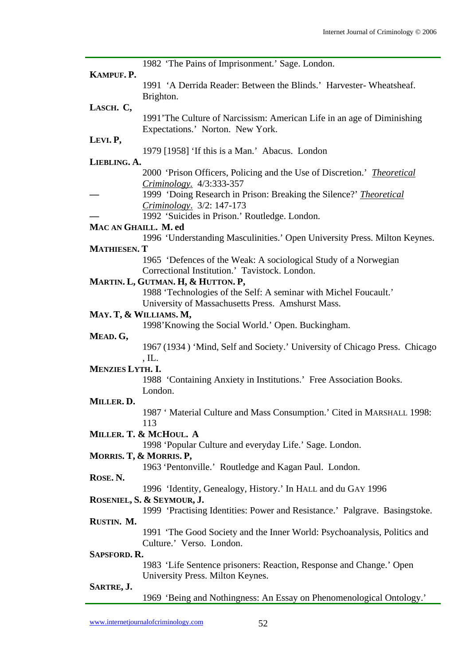| 1982 'The Pains of Imprisonment.' Sage. London.                                |
|--------------------------------------------------------------------------------|
| KAMPUF. P.                                                                     |
| 1991 'A Derrida Reader: Between the Blinds.' Harvester-Wheatsheaf.             |
| Brighton.                                                                      |
| LASCH. C,                                                                      |
| 1991'The Culture of Narcissism: American Life in an age of Diminishing         |
| Expectations.' Norton. New York.                                               |
| LEVI. P,                                                                       |
| 1979 [1958] 'If this is a Man.' Abacus. London                                 |
| LIEBLING. A.                                                                   |
| 2000 'Prison Officers, Policing and the Use of Discretion.' <i>Theoretical</i> |
| Criminology. 4/3:333-357                                                       |
| 1999 'Doing Research in Prison: Breaking the Silence?' Theoretical             |
| Criminology. 3/2: 147-173                                                      |
| 1992 'Suicides in Prison.' Routledge. London.                                  |
| MAC AN GHAILL. M. ed                                                           |
| 1996 'Understanding Masculinities.' Open University Press. Milton Keynes.      |
| <b>MATHIESEN. T</b>                                                            |
| 1965 'Defences of the Weak: A sociological Study of a Norwegian                |
| Correctional Institution.' Tavistock. London.                                  |
|                                                                                |
| MARTIN. L, GUTMAN. H, & HUTTON. P,                                             |
| 1988 'Technologies of the Self: A seminar with Michel Foucault.'               |
| University of Massachusetts Press. Amshurst Mass.                              |
| MAY. T, & WILLIAMS. M,                                                         |
| 1998' Knowing the Social World.' Open. Buckingham.                             |
| MEAD. G,                                                                       |
| 1967 (1934) 'Mind, Self and Society.' University of Chicago Press. Chicago     |
| , IL.                                                                          |
| <b>MENZIES LYTH. I.</b>                                                        |
| 1988 'Containing Anxiety in Institutions.' Free Association Books.             |
| London.                                                                        |
| MILLER. D.                                                                     |
| 1987 'Material Culture and Mass Consumption.' Cited in MARSHALL 1998:          |
| 113                                                                            |
| MILLER. T. & MCHOUL. A                                                         |
| 1998 'Popular Culture and everyday Life.' Sage. London.                        |
| MORRIS. T, & MORRIS. P,                                                        |
| 1963 'Pentonville.' Routledge and Kagan Paul. London.                          |
|                                                                                |
| ROSE. N.                                                                       |
| 1996 'Identity, Genealogy, History.' In HALL and du GAY 1996                   |
| ROSENIEL, S. & SEYMOUR, J.                                                     |
| 1999 'Practising Identities: Power and Resistance.' Palgrave. Basingstoke.     |
| RUSTIN. M.                                                                     |
| 1991 'The Good Society and the Inner World: Psychoanalysis, Politics and       |
| Culture.' Verso. London.                                                       |
| SAPSFORD. R.                                                                   |
| 1983 'Life Sentence prisoners: Reaction, Response and Change.' Open            |
| University Press. Milton Keynes.                                               |
| SARTRE, J.                                                                     |
| 1969 'Being and Nothingness: An Essay on Phenomenological Ontology.'           |
|                                                                                |